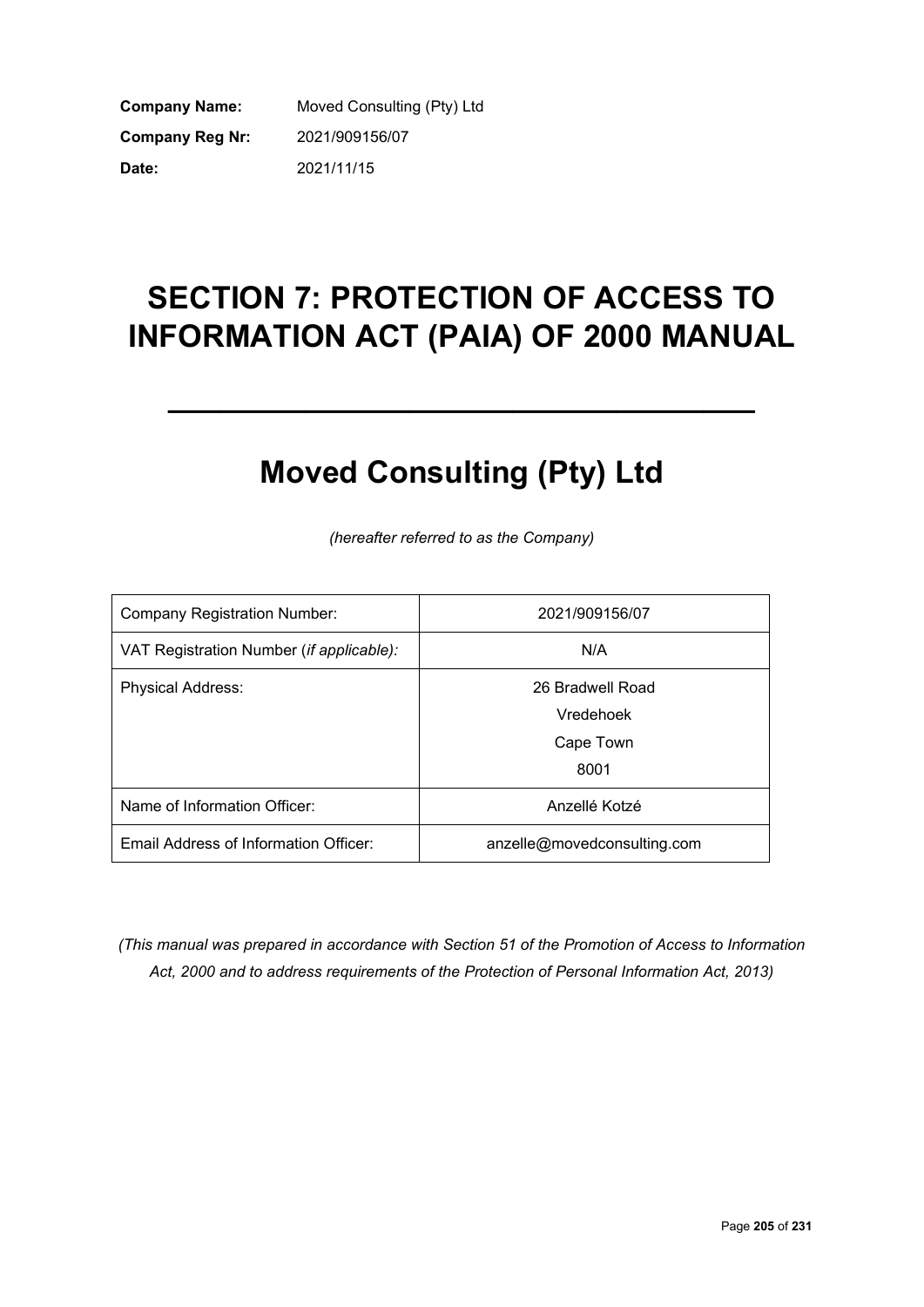**Company Name:** Moved Consulting (Pty) Ltd **Company Reg Nr:** 2021/909156/07 **Date:** 2021/11/15

# **SECTION 7: PROTECTION OF ACCESS TO INFORMATION ACT (PAIA) OF 2000 MANUAL**

# **Moved Consulting (Pty) Ltd**

**\_\_\_\_\_\_\_\_\_\_\_\_\_\_\_\_\_\_\_\_\_\_\_\_\_\_\_\_\_\_\_\_\_\_**

*(hereafter referred to as the Company)*

| <b>Company Registration Number:</b>               | 2021/909156/07              |
|---------------------------------------------------|-----------------------------|
| VAT Registration Number ( <i>if applicable</i> ): | N/A                         |
| <b>Physical Address:</b>                          | 26 Bradwell Road            |
|                                                   | Vredehoek                   |
|                                                   | Cape Town                   |
|                                                   | 8001                        |
| Name of Information Officer:                      | Anzellé Kotzé               |
| Email Address of Information Officer:             | anzelle@movedconsulting.com |

*(This manual was prepared in accordance with Section 51 of the Promotion of Access to Information Act, 2000 and to address requirements of the Protection of Personal Information Act, 2013)*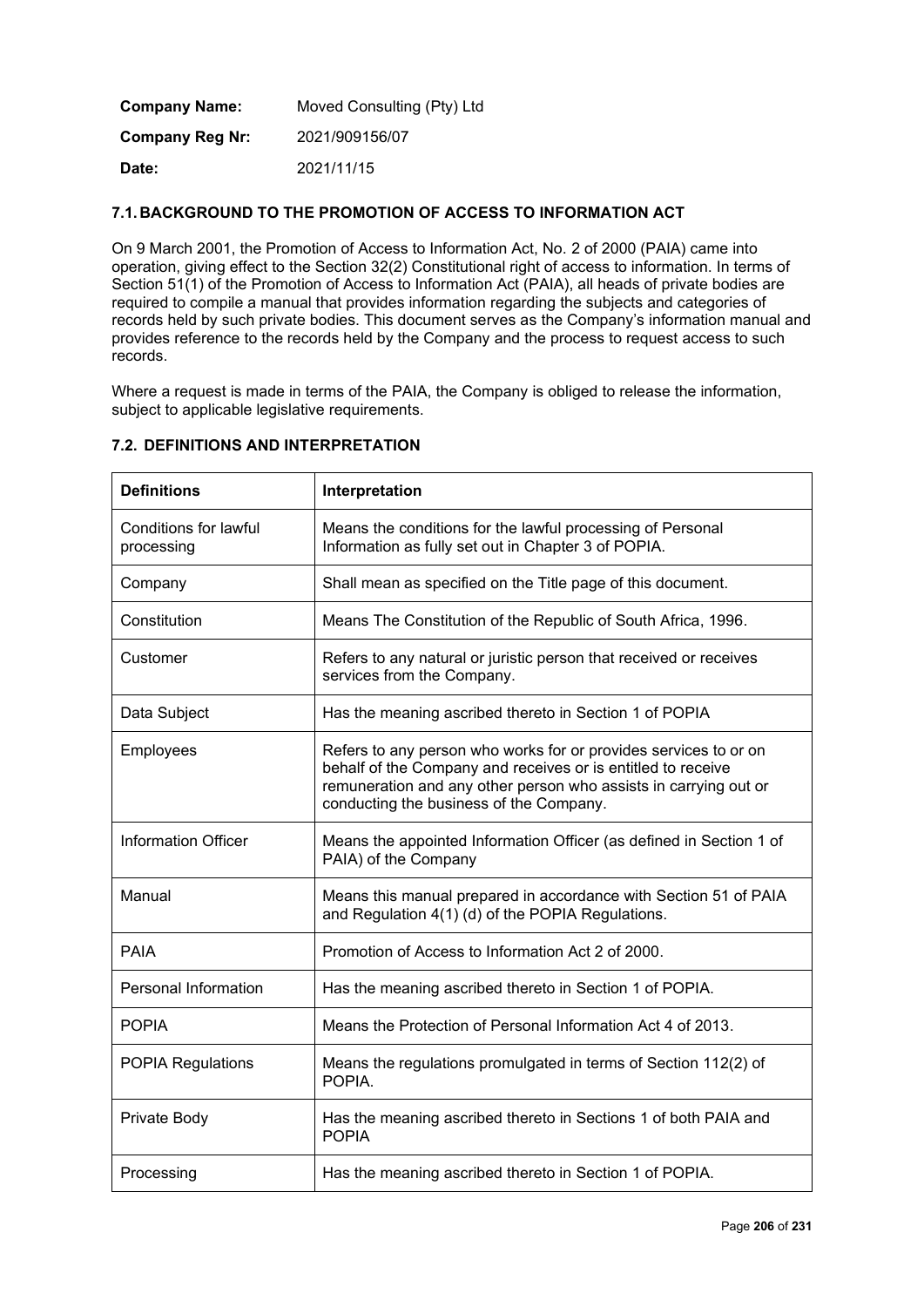| <b>Company Name:</b>   | Moved Consulting (Pty) Ltd |
|------------------------|----------------------------|
| <b>Company Reg Nr:</b> | 2021/909156/07             |
| Date:                  | 2021/11/15                 |

# **7.1. BACKGROUND TO THE PROMOTION OF ACCESS TO INFORMATION ACT**

On 9 March 2001, the Promotion of Access to Information Act, No. 2 of 2000 (PAIA) came into operation, giving effect to the Section 32(2) Constitutional right of access to information. In terms of Section 51(1) of the Promotion of Access to Information Act (PAIA), all heads of private bodies are required to compile a manual that provides information regarding the subjects and categories of records held by such private bodies. This document serves as the Company's information manual and provides reference to the records held by the Company and the process to request access to such records.

Where a request is made in terms of the PAIA, the Company is obliged to release the information, subject to applicable legislative requirements.

| <b>Definitions</b>                  | Interpretation                                                                                                                                                                                                                                  |
|-------------------------------------|-------------------------------------------------------------------------------------------------------------------------------------------------------------------------------------------------------------------------------------------------|
| Conditions for lawful<br>processing | Means the conditions for the lawful processing of Personal<br>Information as fully set out in Chapter 3 of POPIA.                                                                                                                               |
| Company                             | Shall mean as specified on the Title page of this document.                                                                                                                                                                                     |
| Constitution                        | Means The Constitution of the Republic of South Africa, 1996.                                                                                                                                                                                   |
| Customer                            | Refers to any natural or juristic person that received or receives<br>services from the Company.                                                                                                                                                |
| Data Subject                        | Has the meaning ascribed thereto in Section 1 of POPIA                                                                                                                                                                                          |
| Employees                           | Refers to any person who works for or provides services to or on<br>behalf of the Company and receives or is entitled to receive<br>remuneration and any other person who assists in carrying out or<br>conducting the business of the Company. |
| Information Officer                 | Means the appointed Information Officer (as defined in Section 1 of<br>PAIA) of the Company                                                                                                                                                     |
| Manual                              | Means this manual prepared in accordance with Section 51 of PAIA<br>and Regulation 4(1) (d) of the POPIA Regulations.                                                                                                                           |
| <b>PAIA</b>                         | Promotion of Access to Information Act 2 of 2000.                                                                                                                                                                                               |
| Personal Information                | Has the meaning ascribed thereto in Section 1 of POPIA.                                                                                                                                                                                         |
| <b>POPIA</b>                        | Means the Protection of Personal Information Act 4 of 2013.                                                                                                                                                                                     |
| <b>POPIA Regulations</b>            | Means the regulations promulgated in terms of Section 112(2) of<br>POPIA.                                                                                                                                                                       |
| Private Body                        | Has the meaning ascribed thereto in Sections 1 of both PAIA and<br><b>POPIA</b>                                                                                                                                                                 |
| Processing                          | Has the meaning ascribed thereto in Section 1 of POPIA.                                                                                                                                                                                         |

# **7.2. DEFINITIONS AND INTERPRETATION**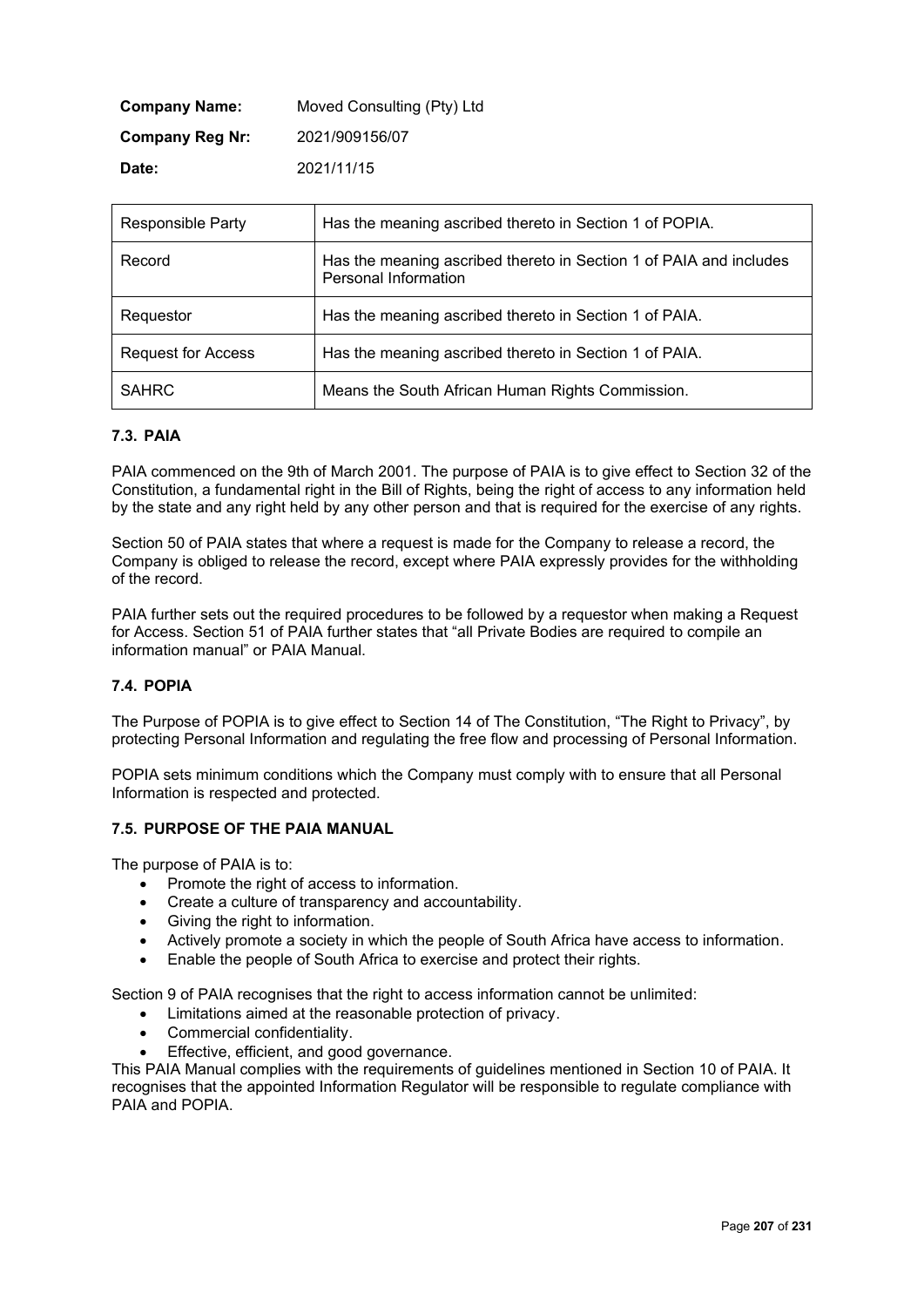| <b>Company Name:</b>   | Moved Consulting (Pty) Ltd |
|------------------------|----------------------------|
| <b>Company Reg Nr:</b> | 2021/909156/07             |
| Date:                  | 2021/11/15                 |

| <b>Responsible Party</b>  | Has the meaning ascribed thereto in Section 1 of POPIA.                                    |
|---------------------------|--------------------------------------------------------------------------------------------|
| Record                    | Has the meaning ascribed thereto in Section 1 of PAIA and includes<br>Personal Information |
| Requestor                 | Has the meaning ascribed thereto in Section 1 of PAIA.                                     |
| <b>Request for Access</b> | Has the meaning ascribed thereto in Section 1 of PAIA.                                     |
| <b>SAHRC</b>              | Means the South African Human Rights Commission.                                           |

## **7.3. PAIA**

PAIA commenced on the 9th of March 2001. The purpose of PAIA is to give effect to Section 32 of the Constitution, a fundamental right in the Bill of Rights, being the right of access to any information held by the state and any right held by any other person and that is required for the exercise of any rights.

Section 50 of PAIA states that where a request is made for the Company to release a record, the Company is obliged to release the record, except where PAIA expressly provides for the withholding of the record.

PAIA further sets out the required procedures to be followed by a requestor when making a Request for Access. Section 51 of PAIA further states that "all Private Bodies are required to compile an information manual" or PAIA Manual.

## **7.4. POPIA**

The Purpose of POPIA is to give effect to Section 14 of The Constitution, "The Right to Privacy", by protecting Personal Information and regulating the free flow and processing of Personal Information.

POPIA sets minimum conditions which the Company must comply with to ensure that all Personal Information is respected and protected.

## **7.5. PURPOSE OF THE PAIA MANUAL**

The purpose of PAIA is to:

- Promote the right of access to information.
- Create a culture of transparency and accountability.
- Giving the right to information.
- Actively promote a society in which the people of South Africa have access to information.
- Enable the people of South Africa to exercise and protect their rights.

Section 9 of PAIA recognises that the right to access information cannot be unlimited:

- Limitations aimed at the reasonable protection of privacy.
- Commercial confidentiality.
- Effective, efficient, and good governance.

This PAIA Manual complies with the requirements of guidelines mentioned in Section 10 of PAIA. It recognises that the appointed Information Regulator will be responsible to regulate compliance with PAIA and POPIA.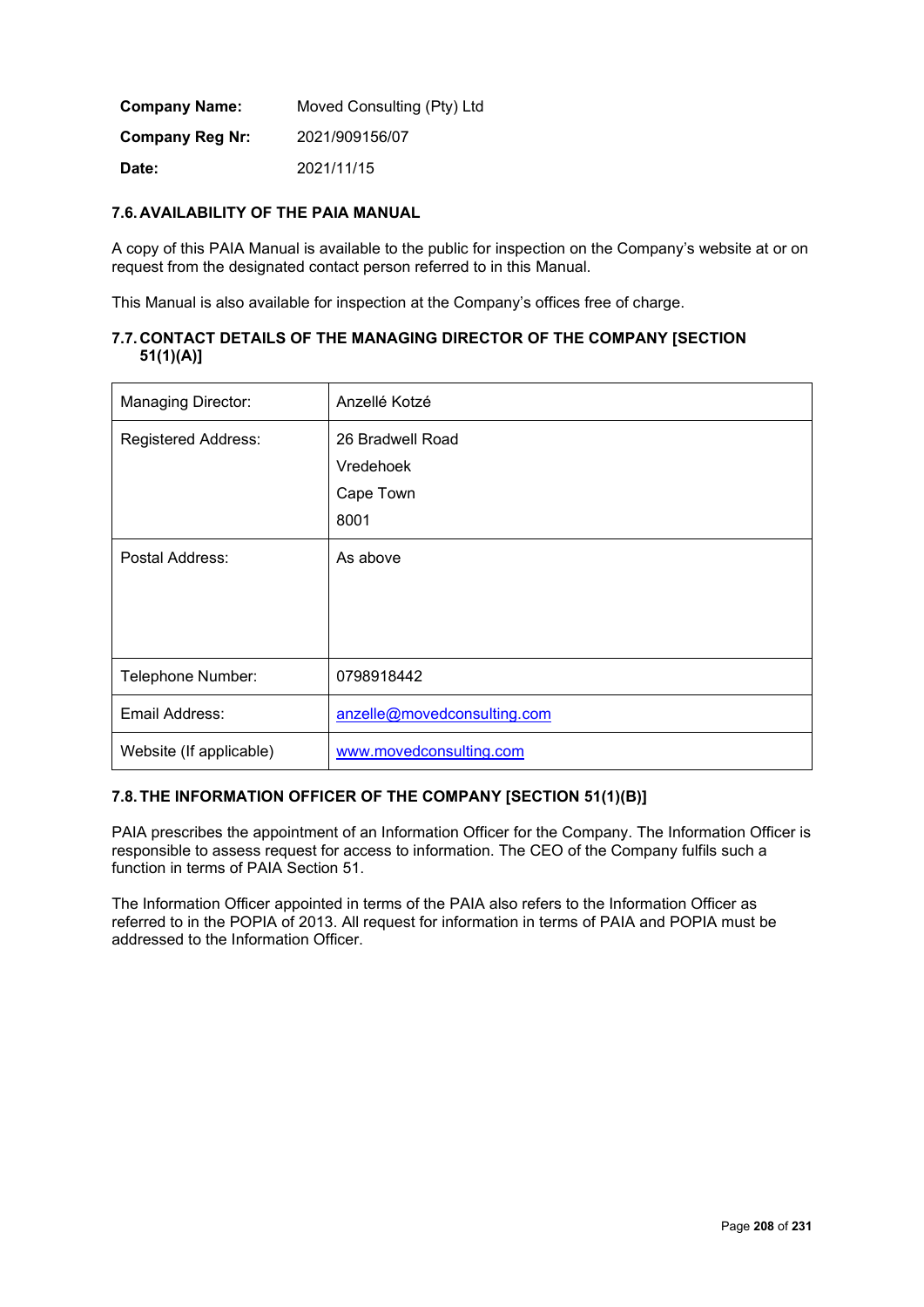| <b>Company Name:</b>   | Moved Consulting (Pty) Ltd |
|------------------------|----------------------------|
| <b>Company Reg Nr:</b> | 2021/909156/07             |
| Date:                  | 2021/11/15                 |

# **7.6. AVAILABILITY OF THE PAIA MANUAL**

A copy of this PAIA Manual is available to the public for inspection on the Company's website at or on request from the designated contact person referred to in this Manual.

This Manual is also available for inspection at the Company's offices free of charge.

# **7.7. CONTACT DETAILS OF THE MANAGING DIRECTOR OF THE COMPANY [SECTION 51(1)(A)]**

| <b>Managing Director:</b> | Anzellé Kotzé                                      |
|---------------------------|----------------------------------------------------|
| Registered Address:       | 26 Bradwell Road<br>Vredehoek<br>Cape Town<br>8001 |
| Postal Address:           | As above                                           |
| Telephone Number:         | 0798918442                                         |
| Email Address:            | anzelle@movedconsulting.com                        |
| Website (If applicable)   | www.movedconsulting.com                            |

## **7.8.THE INFORMATION OFFICER OF THE COMPANY [SECTION 51(1)(B)]**

PAIA prescribes the appointment of an Information Officer for the Company. The Information Officer is responsible to assess request for access to information. The CEO of the Company fulfils such a function in terms of PAIA Section 51.

The Information Officer appointed in terms of the PAIA also refers to the Information Officer as referred to in the POPIA of 2013. All request for information in terms of PAIA and POPIA must be addressed to the Information Officer.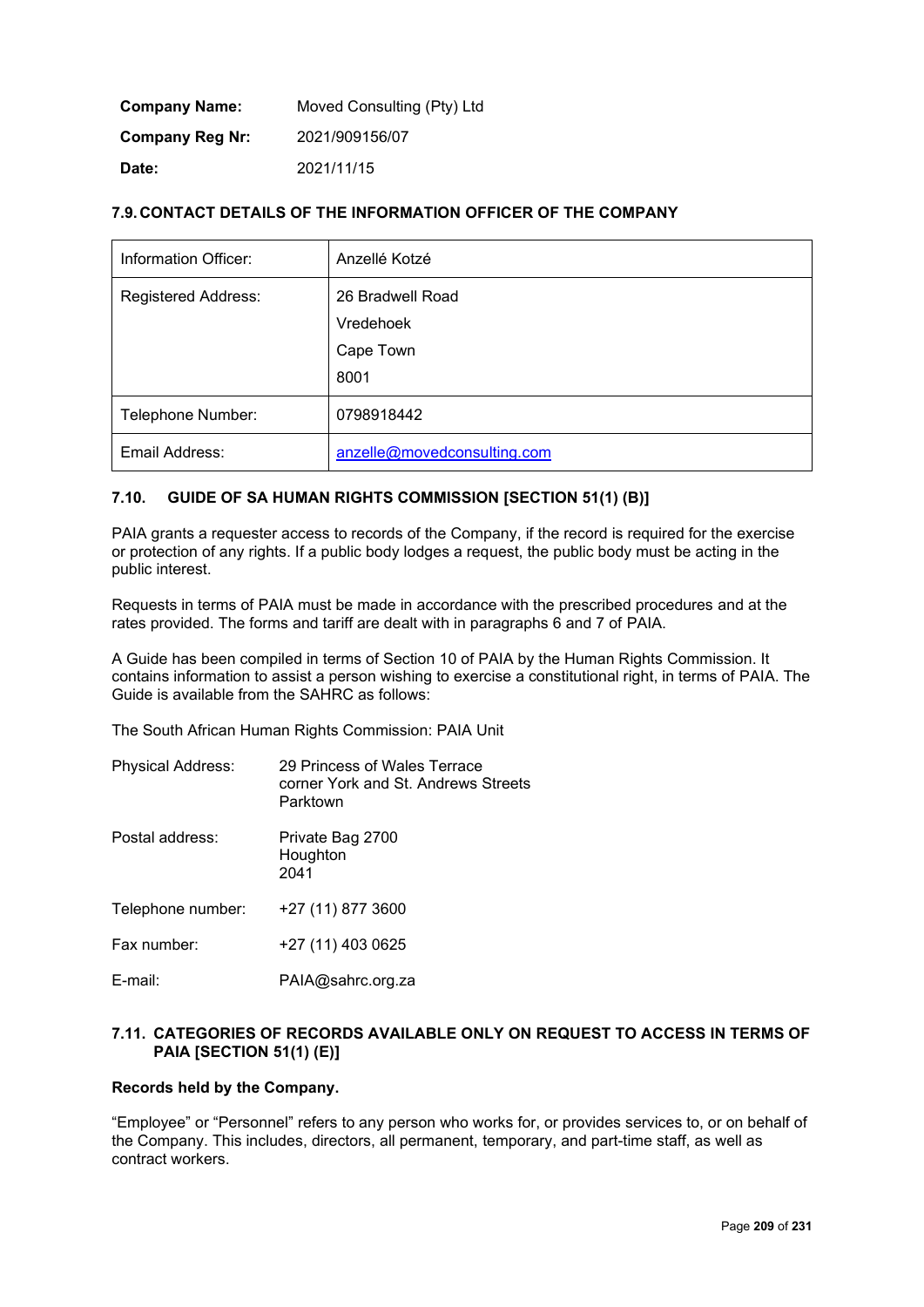| <b>Company Name:</b>   | Moved Consulting (Pty) Ltd |
|------------------------|----------------------------|
| <b>Company Reg Nr:</b> | 2021/909156/07             |
| Date:                  | 2021/11/15                 |

# **7.9. CONTACT DETAILS OF THE INFORMATION OFFICER OF THE COMPANY**

| Information Officer: | Anzellé Kotzé                                      |
|----------------------|----------------------------------------------------|
| Registered Address:  | 26 Bradwell Road<br>Vredehoek<br>Cape Town<br>8001 |
| Telephone Number:    | 0798918442                                         |
| Email Address:       | anzelle@movedconsulting.com                        |

# **7.10. GUIDE OF SA HUMAN RIGHTS COMMISSION [SECTION 51(1) (B)]**

PAIA grants a requester access to records of the Company, if the record is required for the exercise or protection of any rights. If a public body lodges a request, the public body must be acting in the public interest.

Requests in terms of PAIA must be made in accordance with the prescribed procedures and at the rates provided. The forms and tariff are dealt with in paragraphs 6 and 7 of PAIA.

A Guide has been compiled in terms of Section 10 of PAIA by the Human Rights Commission. It contains information to assist a person wishing to exercise a constitutional right, in terms of PAIA. The Guide is available from the SAHRC as follows:

The South African Human Rights Commission: PAIA Unit

| <b>Physical Address:</b> | 29 Princess of Wales Terrace<br>corner York and St. Andrews Streets<br>Parktown |
|--------------------------|---------------------------------------------------------------------------------|
| Postal address:          | Private Bag 2700<br>Houghton<br>2041                                            |
| Telephone number:        | +27 (11) 877 3600                                                               |
| Fax number:              | +27 (11) 403 0625                                                               |
| E-mail:                  | PAIA@sahrc.org.za                                                               |

# **7.11. CATEGORIES OF RECORDS AVAILABLE ONLY ON REQUEST TO ACCESS IN TERMS OF PAIA [SECTION 51(1) (E)]**

## **Records held by the Company.**

"Employee" or "Personnel" refers to any person who works for, or provides services to, or on behalf of the Company. This includes, directors, all permanent, temporary, and part-time staff, as well as contract workers.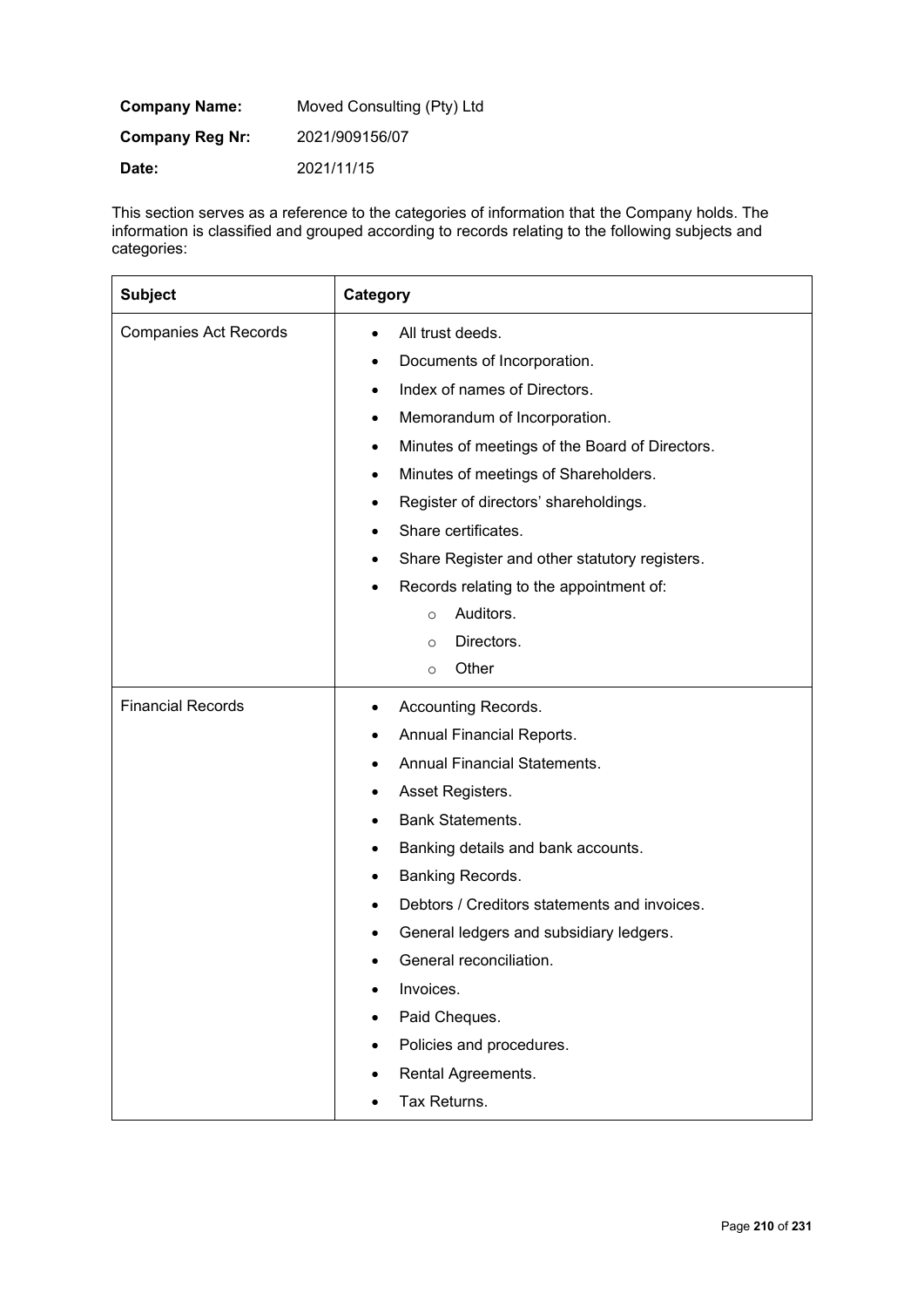| <b>Company Name:</b> | Moved Consulting (Pty) Ltd |
|----------------------|----------------------------|
| Company Reg Nr:      | 2021/909156/07             |
| Date:                | 2021/11/15                 |

This section serves as a reference to the categories of information that the Company holds. The information is classified and grouped according to records relating to the following subjects and categories:

| <b>Subject</b>               | Category                                                                                                                                                                                                                                                                                                                                                                                                                                                                                                        |
|------------------------------|-----------------------------------------------------------------------------------------------------------------------------------------------------------------------------------------------------------------------------------------------------------------------------------------------------------------------------------------------------------------------------------------------------------------------------------------------------------------------------------------------------------------|
| <b>Companies Act Records</b> | All trust deeds.<br>٠<br>Documents of Incorporation.<br>$\bullet$<br>Index of names of Directors.<br>$\bullet$<br>Memorandum of Incorporation.<br>$\bullet$<br>Minutes of meetings of the Board of Directors.<br>٠<br>Minutes of meetings of Shareholders.<br>٠<br>Register of directors' shareholdings.<br>٠<br>Share certificates.<br>٠<br>Share Register and other statutory registers.<br>٠<br>Records relating to the appointment of:<br>Auditors.<br>$\circ$<br>Directors.<br>$\circ$<br>Other<br>$\circ$ |
| <b>Financial Records</b>     | Accounting Records.<br>٠<br>Annual Financial Reports.<br>٠<br><b>Annual Financial Statements.</b><br>Asset Registers.<br>٠<br><b>Bank Statements.</b><br>Banking details and bank accounts.<br>٠<br>Banking Records.<br>٠<br>Debtors / Creditors statements and invoices.<br>General ledgers and subsidiary ledgers.<br>٠<br>General reconciliation.<br>Invoices.<br>Paid Cheques.<br>$\bullet$<br>Policies and procedures.<br>Rental Agreements.<br>Tax Returns.                                               |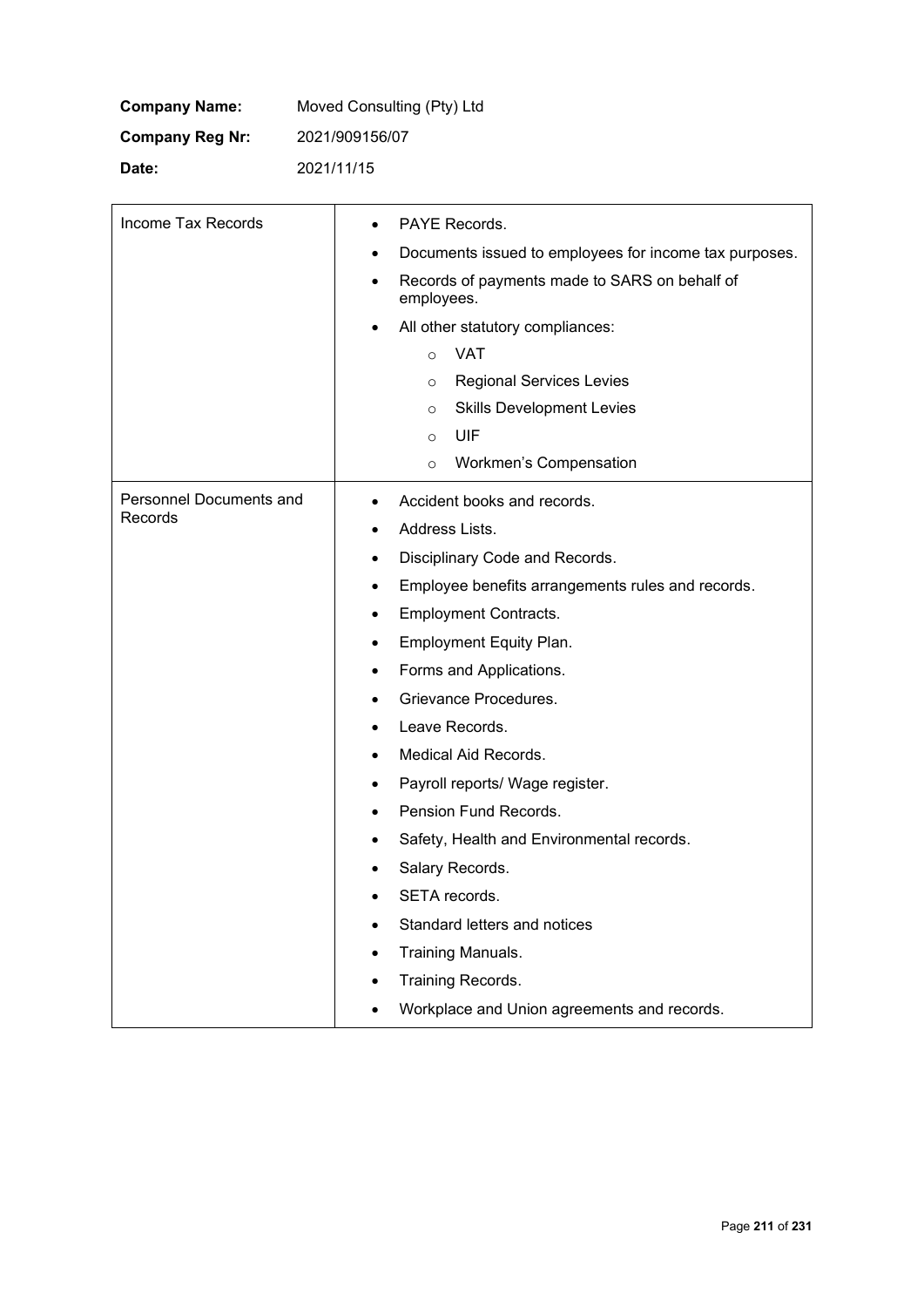| <b>Company Name:</b>   | Moved Consulting (Pty) Ltd |
|------------------------|----------------------------|
| <b>Company Reg Nr:</b> | 2021/909156/07             |
| Date:                  | 2021/11/15                 |

**F** 

| Income Tax Records      | PAYE Records.<br>$\bullet$                                               |  |
|-------------------------|--------------------------------------------------------------------------|--|
|                         | Documents issued to employees for income tax purposes.<br>$\bullet$      |  |
|                         | Records of payments made to SARS on behalf of<br>$\bullet$<br>employees. |  |
|                         | All other statutory compliances:<br>$\bullet$                            |  |
|                         | <b>VAT</b><br>$\circ$                                                    |  |
|                         | <b>Regional Services Levies</b><br>$\circ$                               |  |
|                         | <b>Skills Development Levies</b><br>$\circ$                              |  |
|                         | UIF<br>$\circ$                                                           |  |
|                         | Workmen's Compensation<br>$\circ$                                        |  |
| Personnel Documents and | Accident books and records.<br>$\bullet$                                 |  |
| Records                 | Address Lists.<br>$\bullet$                                              |  |
|                         | Disciplinary Code and Records.<br>٠                                      |  |
|                         | Employee benefits arrangements rules and records.<br>٠                   |  |
|                         | <b>Employment Contracts.</b><br>٠                                        |  |
|                         | Employment Equity Plan.<br>٠                                             |  |
|                         | Forms and Applications.<br>٠                                             |  |
|                         | Grievance Procedures.<br>$\bullet$                                       |  |
|                         | Leave Records.<br>$\bullet$                                              |  |
|                         | Medical Aid Records.<br>$\bullet$                                        |  |
|                         | Payroll reports/ Wage register.<br>$\bullet$                             |  |
|                         | Pension Fund Records.<br>$\bullet$                                       |  |
|                         | Safety, Health and Environmental records.<br>٠                           |  |
|                         | Salary Records.                                                          |  |
|                         | SETA records.                                                            |  |
|                         | Standard letters and notices                                             |  |
|                         | Training Manuals.                                                        |  |
|                         | Training Records.<br>$\bullet$                                           |  |
|                         | Workplace and Union agreements and records.                              |  |

٦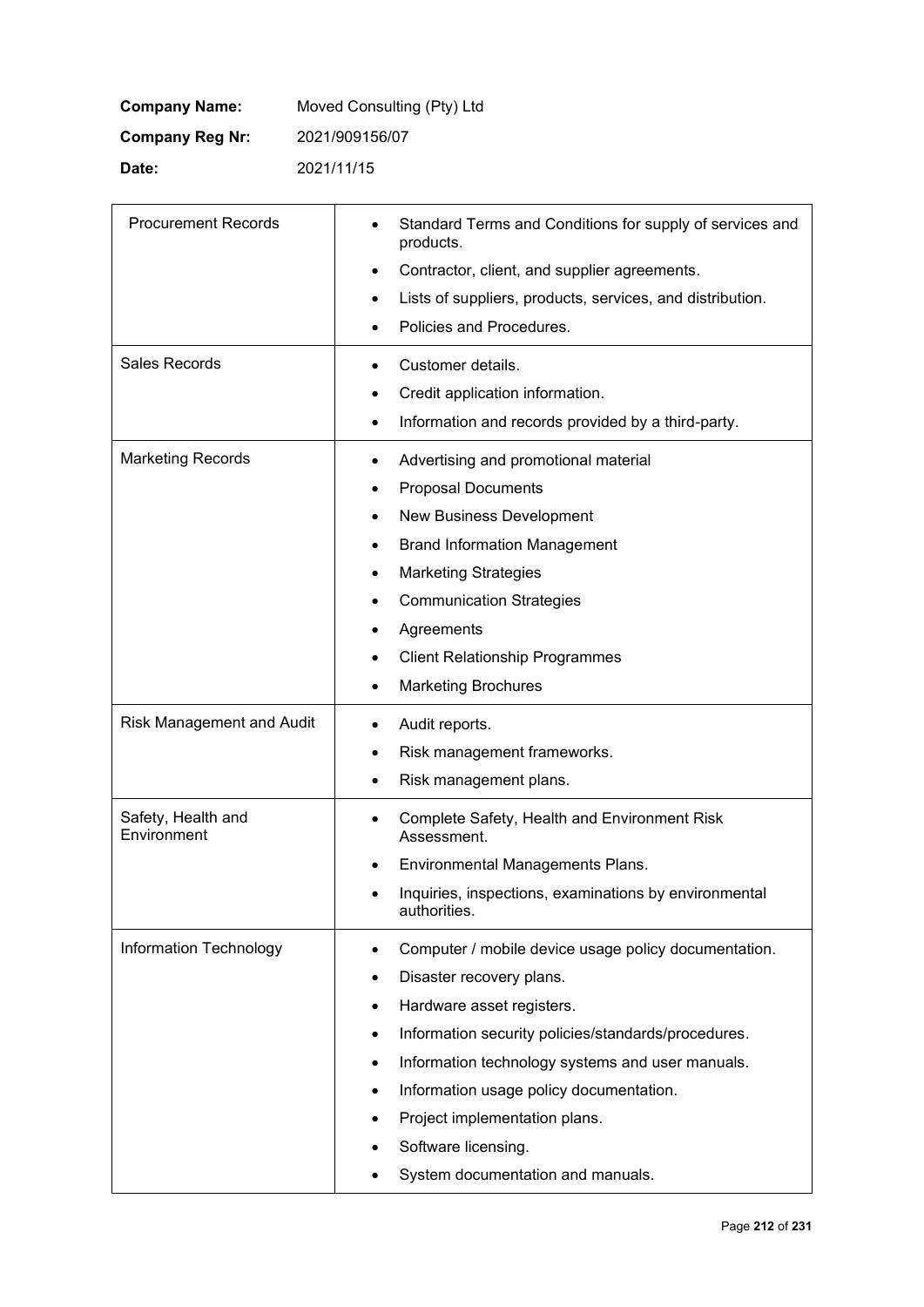| <b>Company Name:</b>   | Moved Consulting (Pty) Ltd |
|------------------------|----------------------------|
| <b>Company Reg Nr:</b> | 2021/909156/07             |
| Date:                  | 2021/11/15                 |

| <b>Procurement Records</b>        | Standard Terms and Conditions for supply of services and<br>products.              |
|-----------------------------------|------------------------------------------------------------------------------------|
|                                   | Contractor, client, and supplier agreements.<br>$\bullet$                          |
|                                   | Lists of suppliers, products, services, and distribution.<br>$\bullet$             |
|                                   | Policies and Procedures.<br>$\bullet$                                              |
| Sales Records                     | Customer details.<br>$\bullet$                                                     |
|                                   | Credit application information.<br>$\bullet$                                       |
|                                   | Information and records provided by a third-party.<br>$\bullet$                    |
| <b>Marketing Records</b>          | Advertising and promotional material<br>$\bullet$                                  |
|                                   | <b>Proposal Documents</b><br>$\bullet$                                             |
|                                   | New Business Development<br>$\bullet$                                              |
|                                   | <b>Brand Information Management</b><br>$\bullet$                                   |
|                                   | <b>Marketing Strategies</b><br>٠                                                   |
|                                   | <b>Communication Strategies</b>                                                    |
|                                   | Agreements<br>٠                                                                    |
|                                   | <b>Client Relationship Programmes</b><br>٠                                         |
|                                   | <b>Marketing Brochures</b><br>٠                                                    |
| Risk Management and Audit         | Audit reports.<br>٠                                                                |
|                                   | Risk management frameworks.<br>$\bullet$                                           |
|                                   | Risk management plans.<br>$\bullet$                                                |
| Safety, Health and<br>Environment | Complete Safety, Health and Environment Risk<br>$\bullet$<br>Assessment.           |
|                                   | Environmental Managements Plans.<br>٠                                              |
|                                   | Inquiries, inspections, examinations by environmental<br>$\bullet$<br>authorities. |
| Information Technology            | Computer / mobile device usage policy documentation.<br>٠                          |
|                                   | Disaster recovery plans.<br>٠                                                      |
|                                   | Hardware asset registers.<br>٠                                                     |
|                                   | Information security policies/standards/procedures.<br>٠                           |
|                                   | Information technology systems and user manuals.<br>٠                              |
|                                   | Information usage policy documentation.<br>$\bullet$                               |
|                                   | Project implementation plans.                                                      |
|                                   | Software licensing.                                                                |
|                                   | System documentation and manuals.                                                  |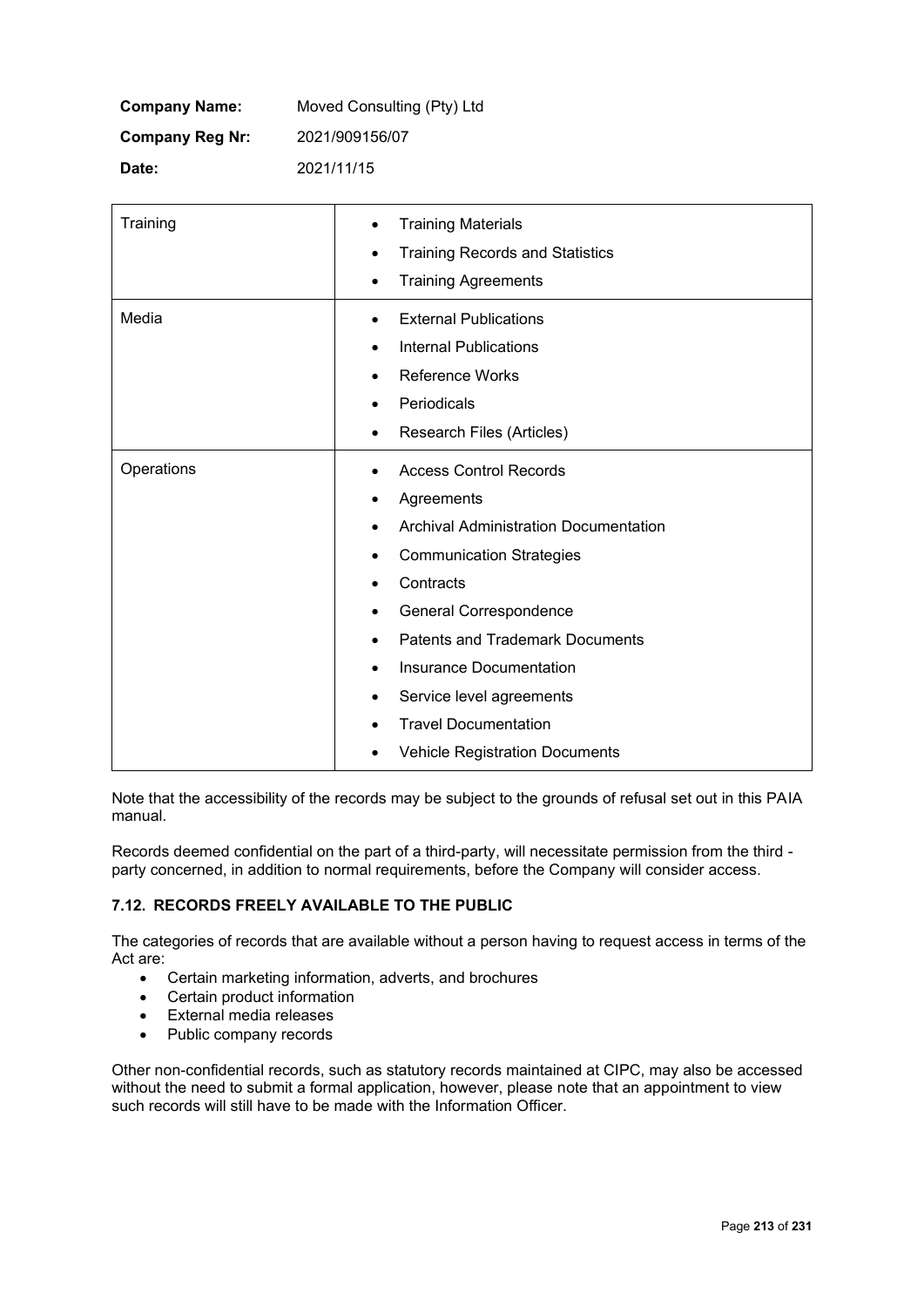| <b>Company Name:</b>   | Moved Consulting (Pty) Ltd |
|------------------------|----------------------------|
| <b>Company Reg Nr:</b> | 2021/909156/07             |
| Date:                  | 2021/11/15                 |

| Training   | <b>Training Materials</b><br>٠<br><b>Training Records and Statistics</b><br><b>Training Agreements</b>                                                                                                                                                                                                                                                                       |
|------------|------------------------------------------------------------------------------------------------------------------------------------------------------------------------------------------------------------------------------------------------------------------------------------------------------------------------------------------------------------------------------|
| Media      | <b>External Publications</b><br><b>Internal Publications</b><br>٠<br><b>Reference Works</b><br>٠<br>Periodicals<br>٠<br>Research Files (Articles)                                                                                                                                                                                                                            |
| Operations | <b>Access Control Records</b><br>Agreements<br>٠<br><b>Archival Administration Documentation</b><br><b>Communication Strategies</b><br>٠<br>Contracts<br>General Correspondence<br>٠<br><b>Patents and Trademark Documents</b><br>٠<br>Insurance Documentation<br>٠<br>Service level agreements<br>٠<br><b>Travel Documentation</b><br><b>Vehicle Registration Documents</b> |

Note that the accessibility of the records may be subject to the grounds of refusal set out in this PAIA manual.

Records deemed confidential on the part of a third-party, will necessitate permission from the third party concerned, in addition to normal requirements, before the Company will consider access.

# **7.12. RECORDS FREELY AVAILABLE TO THE PUBLIC**

The categories of records that are available without a person having to request access in terms of the Act are:

- Certain marketing information, adverts, and brochures
- Certain product information
- External media releases
- Public company records

Other non-confidential records, such as statutory records maintained at CIPC, may also be accessed without the need to submit a formal application, however, please note that an appointment to view such records will still have to be made with the Information Officer.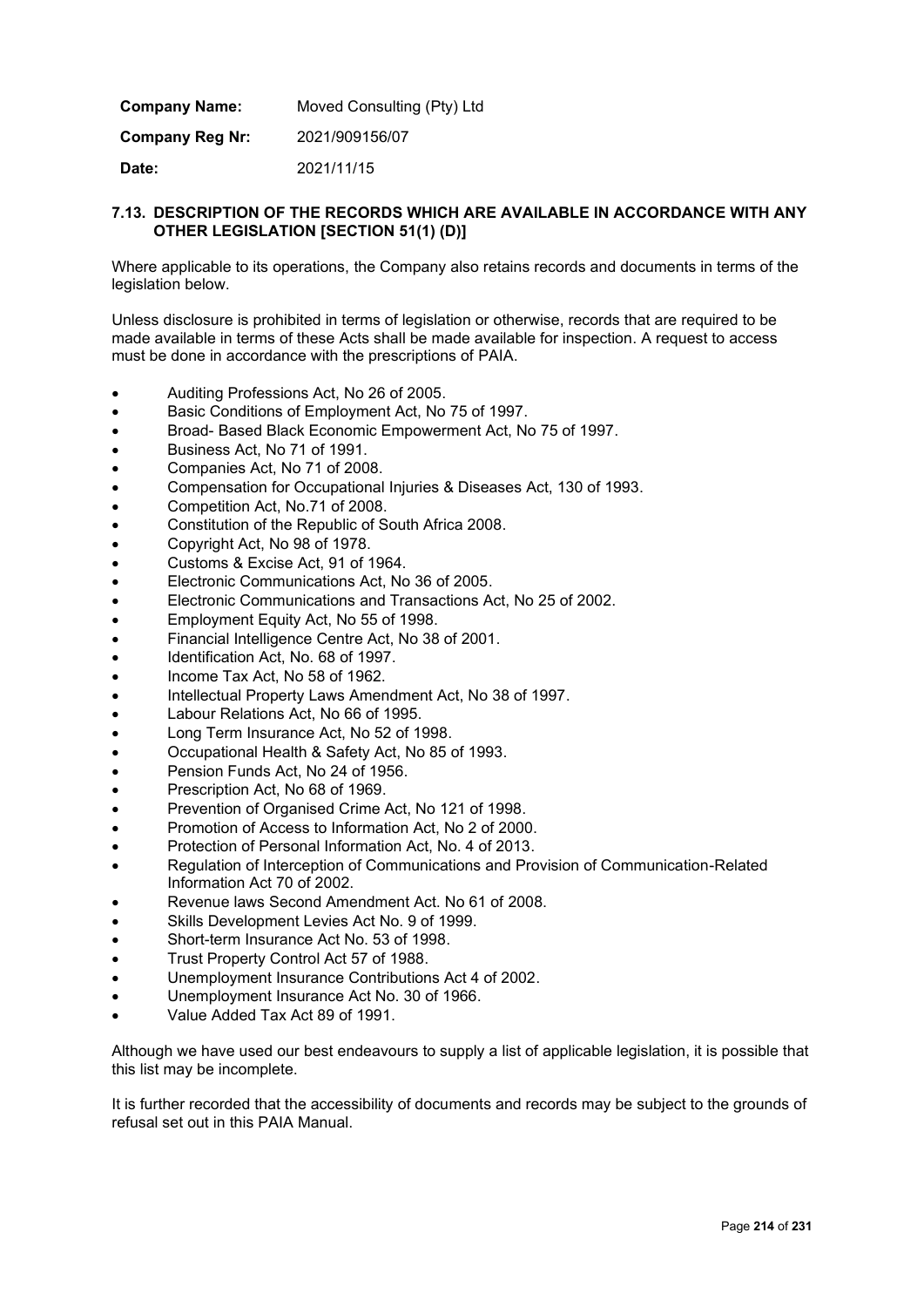**Company Name:** Moved Consulting (Pty) Ltd

**Company Reg Nr:** 2021/909156/07

**Date:** 2021/11/15

# **7.13. DESCRIPTION OF THE RECORDS WHICH ARE AVAILABLE IN ACCORDANCE WITH ANY OTHER LEGISLATION [SECTION 51(1) (D)]**

Where applicable to its operations, the Company also retains records and documents in terms of the legislation below.

Unless disclosure is prohibited in terms of legislation or otherwise, records that are required to be made available in terms of these Acts shall be made available for inspection. A request to access must be done in accordance with the prescriptions of PAIA.

- Auditing Professions Act, No 26 of 2005.
- **EXECUTE:** Basic Conditions of Employment Act, No 75 of 1997.
- Broad- Based Black Economic Empowerment Act, No 75 of 1997.
- Business Act, No 71 of 1991.
- Companies Act, No 71 of 2008.
- x Compensation for Occupational Injuries & Diseases Act, 130 of 1993.
- Competition Act, No.71 of 2008.
- Constitution of the Republic of South Africa 2008.
- Copyright Act, No 98 of 1978.
- Customs & Excise Act, 91 of 1964.
- Electronic Communications Act, No 36 of 2005.
- Electronic Communications and Transactions Act, No 25 of 2002.
- Employment Equity Act, No 55 of 1998.
- Financial Intelligence Centre Act, No 38 of 2001.
- Identification Act, No. 68 of 1997.
- Income Tax Act, No 58 of 1962.
- Intellectual Property Laws Amendment Act, No 38 of 1997.
- Labour Relations Act, No 66 of 1995.
- Long Term Insurance Act, No 52 of 1998.
- Occupational Health & Safety Act, No 85 of 1993.
- Pension Funds Act, No 24 of 1956.
- Prescription Act, No 68 of 1969.
- Prevention of Organised Crime Act, No 121 of 1998.
- Promotion of Access to Information Act, No 2 of 2000.
- Protection of Personal Information Act, No. 4 of 2013.
- x Regulation of Interception of Communications and Provision of Communication-Related Information Act 70 of 2002.
- Revenue laws Second Amendment Act. No 61 of 2008.
- Skills Development Levies Act No. 9 of 1999.
- Short-term Insurance Act No. 53 of 1998.
- Trust Property Control Act 57 of 1988.
- Unemployment Insurance Contributions Act 4 of 2002.
- Unemployment Insurance Act No. 30 of 1966.
- x Value Added Tax Act 89 of 1991.

Although we have used our best endeavours to supply a list of applicable legislation, it is possible that this list may be incomplete.

It is further recorded that the accessibility of documents and records may be subject to the grounds of refusal set out in this PAIA Manual.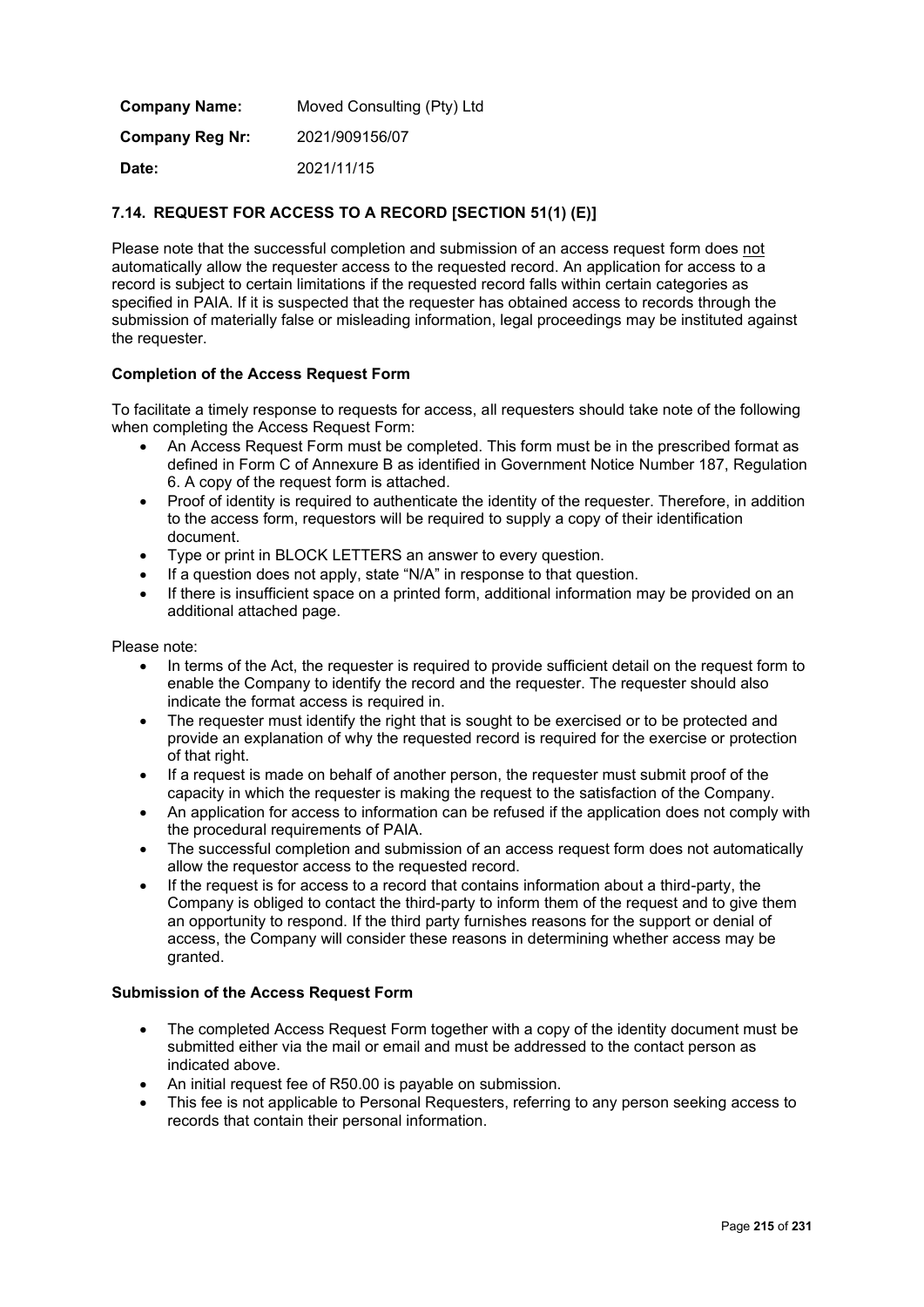| <b>Company Name:</b>   | Moved Consulting (Pty) Ltd |
|------------------------|----------------------------|
| <b>Company Reg Nr:</b> | 2021/909156/07             |
| Date:                  | 2021/11/15                 |

# **7.14. REQUEST FOR ACCESS TO A RECORD [SECTION 51(1) (E)]**

Please note that the successful completion and submission of an access request form does not automatically allow the requester access to the requested record. An application for access to a record is subject to certain limitations if the requested record falls within certain categories as specified in PAIA. If it is suspected that the requester has obtained access to records through the submission of materially false or misleading information, legal proceedings may be instituted against the requester.

# **Completion of the Access Request Form**

To facilitate a timely response to requests for access, all requesters should take note of the following when completing the Access Request Form:

- An Access Request Form must be completed. This form must be in the prescribed format as defined in Form C of Annexure B as identified in Government Notice Number 187, Regulation 6. A copy of the request form is attached.
- Proof of identity is required to authenticate the identity of the requester. Therefore, in addition to the access form, requestors will be required to supply a copy of their identification document.
- Type or print in BLOCK LETTERS an answer to every question.
- If a question does not apply, state "N/A" in response to that question.
- If there is insufficient space on a printed form, additional information may be provided on an additional attached page.

Please note:

- In terms of the Act, the requester is required to provide sufficient detail on the request form to enable the Company to identify the record and the requester. The requester should also indicate the format access is required in.
- The requester must identify the right that is sought to be exercised or to be protected and provide an explanation of why the requested record is required for the exercise or protection of that right.
- If a request is made on behalf of another person, the requester must submit proof of the capacity in which the requester is making the request to the satisfaction of the Company.
- An application for access to information can be refused if the application does not comply with the procedural requirements of PAIA.
- x The successful completion and submission of an access request form does not automatically allow the requestor access to the requested record.
- If the request is for access to a record that contains information about a third-party, the Company is obliged to contact the third-party to inform them of the request and to give them an opportunity to respond. If the third party furnishes reasons for the support or denial of access, the Company will consider these reasons in determining whether access may be granted.

## **Submission of the Access Request Form**

- The completed Access Request Form together with a copy of the identity document must be submitted either via the mail or email and must be addressed to the contact person as indicated above.
- An initial request fee of R50.00 is payable on submission.
- This fee is not applicable to Personal Requesters, referring to any person seeking access to records that contain their personal information.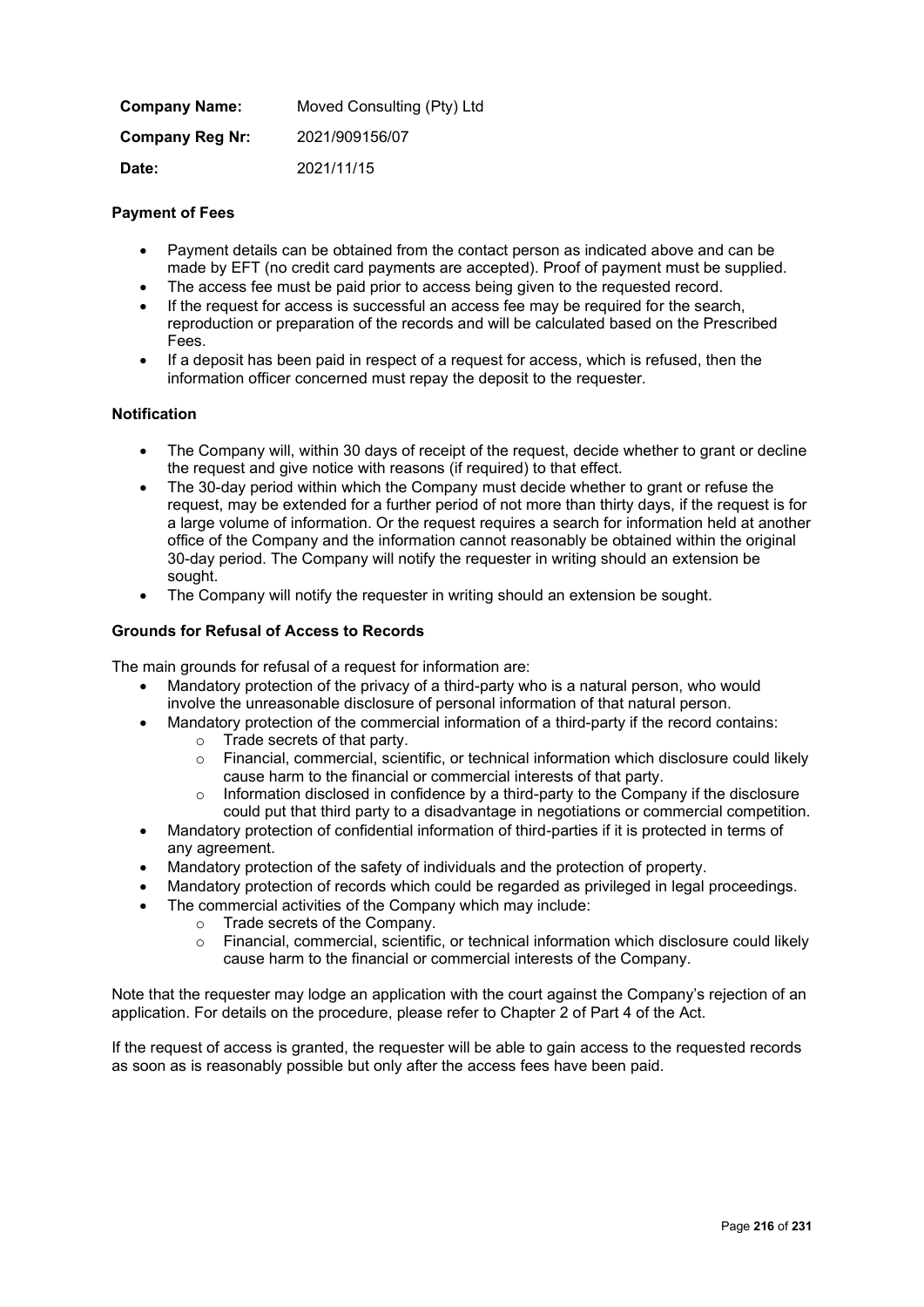| <b>Company Name:</b>   | Moved Consulting (Pty) Ltd |
|------------------------|----------------------------|
| <b>Company Reg Nr:</b> | 2021/909156/07             |
| Date:                  | 2021/11/15                 |

# **Payment of Fees**

- Payment details can be obtained from the contact person as indicated above and can be made by EFT (no credit card payments are accepted). Proof of payment must be supplied.
- The access fee must be paid prior to access being given to the requested record.
- $\bullet$  If the request for access is successful an access fee may be required for the search, reproduction or preparation of the records and will be calculated based on the Prescribed Fees.
- If a deposit has been paid in respect of a request for access, which is refused, then the information officer concerned must repay the deposit to the requester.

## **Notification**

- The Company will, within 30 days of receipt of the request, decide whether to grant or decline the request and give notice with reasons (if required) to that effect.
- The 30-day period within which the Company must decide whether to grant or refuse the request, may be extended for a further period of not more than thirty days, if the request is for a large volume of information. Or the request requires a search for information held at another office of the Company and the information cannot reasonably be obtained within the original 30-day period. The Company will notify the requester in writing should an extension be sought.
- The Company will notify the requester in writing should an extension be sought.

# **Grounds for Refusal of Access to Records**

The main grounds for refusal of a request for information are:

- Mandatory protection of the privacy of a third-party who is a natural person, who would involve the unreasonable disclosure of personal information of that natural person.
- Mandatory protection of the commercial information of a third-party if the record contains:
	- o Trade secrets of that party.
	- $\circ$  Financial, commercial, scientific, or technical information which disclosure could likely cause harm to the financial or commercial interests of that party.
	- $\circ$  Information disclosed in confidence by a third-party to the Company if the disclosure could put that third party to a disadvantage in negotiations or commercial competition.
- Mandatory protection of confidential information of third-parties if it is protected in terms of any agreement.
- Mandatory protection of the safety of individuals and the protection of property.
- Mandatory protection of records which could be regarded as privileged in legal proceedings.
- The commercial activities of the Company which may include:
	- o Trade secrets of the Company.
	- $\circ$  Financial, commercial, scientific, or technical information which disclosure could likely cause harm to the financial or commercial interests of the Company.

Note that the requester may lodge an application with the court against the Company's rejection of an application. For details on the procedure, please refer to Chapter 2 of Part 4 of the Act.

If the request of access is granted, the requester will be able to gain access to the requested records as soon as is reasonably possible but only after the access fees have been paid.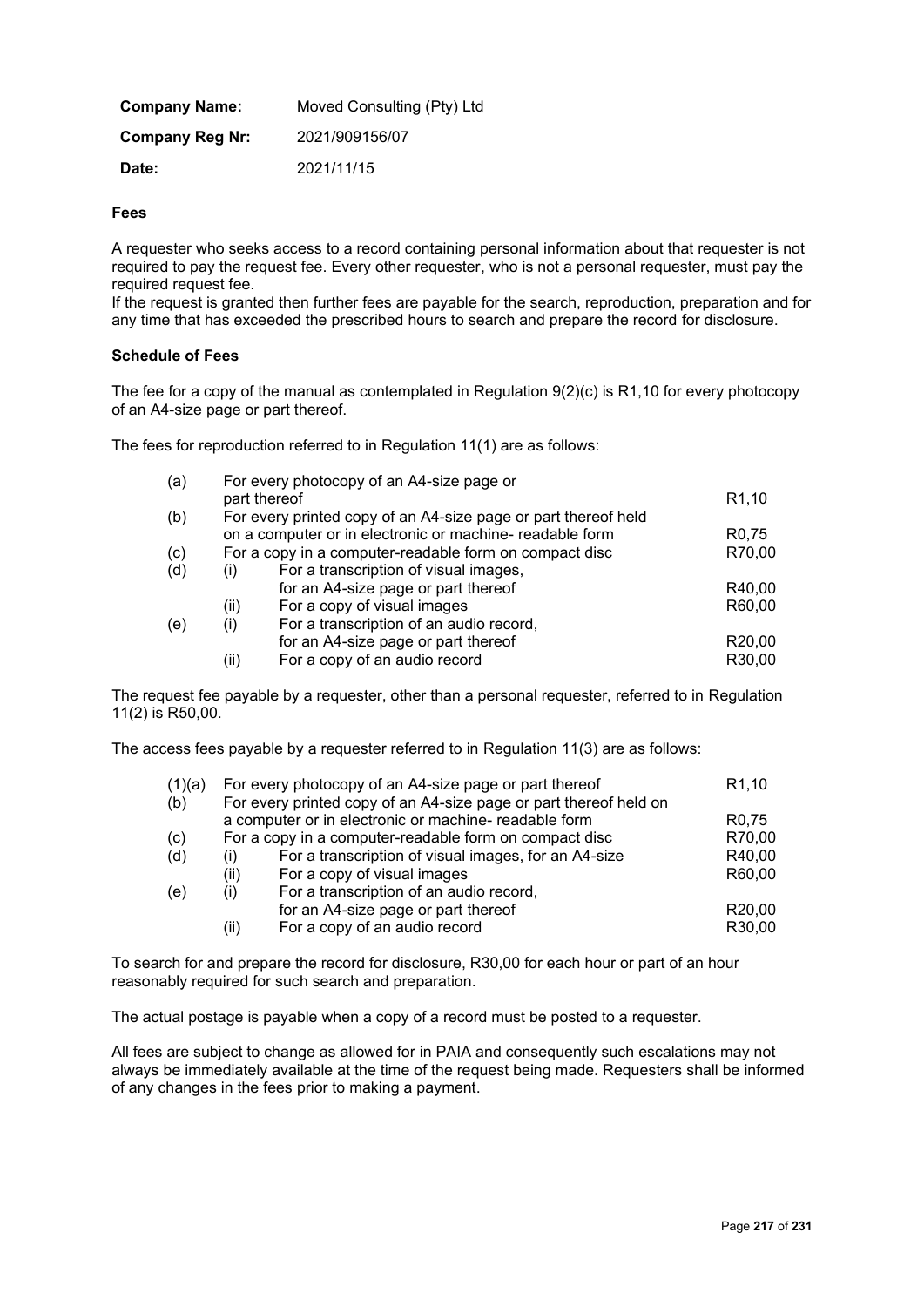| <b>Company Name:</b> | Moved Consulting (Pty) Ltd |
|----------------------|----------------------------|
| Company Reg Nr:      | 2021/909156/07             |
| Date:                | 2021/11/15                 |

## **Fees**

A requester who seeks access to a record containing personal information about that requester is not required to pay the request fee. Every other requester, who is not a personal requester, must pay the required request fee.

If the request is granted then further fees are payable for the search, reproduction, preparation and for any time that has exceeded the prescribed hours to search and prepare the record for disclosure.

## **Schedule of Fees**

The fee for a copy of the manual as contemplated in Regulation 9(2)(c) is R1,10 for every photocopy of an A4-size page or part thereof.

The fees for reproduction referred to in Regulation 11(1) are as follows:

| (a) |                                                                | For every photocopy of an A4-size page or                |                    |
|-----|----------------------------------------------------------------|----------------------------------------------------------|--------------------|
|     |                                                                | part thereof                                             | R <sub>1</sub> ,10 |
| (b) | For every printed copy of an A4-size page or part thereof held |                                                          |                    |
|     |                                                                | on a computer or in electronic or machine- readable form | R <sub>0.75</sub>  |
| (c) |                                                                | For a copy in a computer-readable form on compact disc   | R70,00             |
| (d) | (i)                                                            | For a transcription of visual images,                    |                    |
|     |                                                                | for an A4-size page or part thereof                      | R40,00             |
|     | (ii)                                                           | For a copy of visual images                              | R60,00             |
| (e) | (i)                                                            | For a transcription of an audio record,                  |                    |
|     |                                                                | for an A4-size page or part thereof                      | R20,00             |
|     | (ii)                                                           | For a copy of an audio record                            | R30,00             |

The request fee payable by a requester, other than a personal requester, referred to in Regulation 11(2) is R50,00.

The access fees payable by a requester referred to in Regulation 11(3) are as follows:

| (1)(a) |                                                                   | For every photocopy of an A4-size page or part thereof | R <sub>1.10</sub> |
|--------|-------------------------------------------------------------------|--------------------------------------------------------|-------------------|
| (b)    | For every printed copy of an A4-size page or part thereof held on |                                                        |                   |
|        |                                                                   | a computer or in electronic or machine- readable form  | R <sub>0.75</sub> |
| (c)    | R70,00<br>For a copy in a computer-readable form on compact disc  |                                                        |                   |
| (d)    | (i)                                                               | For a transcription of visual images, for an A4-size   | R40,00            |
|        | (ii)                                                              | For a copy of visual images                            | R60.00            |
| (e)    | (i)                                                               | For a transcription of an audio record,                |                   |
|        |                                                                   | for an A4-size page or part thereof                    | R20,00            |
|        | (ii)                                                              | For a copy of an audio record                          | R30,00            |

To search for and prepare the record for disclosure, R30,00 for each hour or part of an hour reasonably required for such search and preparation.

The actual postage is payable when a copy of a record must be posted to a requester.

All fees are subject to change as allowed for in PAIA and consequently such escalations may not always be immediately available at the time of the request being made. Requesters shall be informed of any changes in the fees prior to making a payment.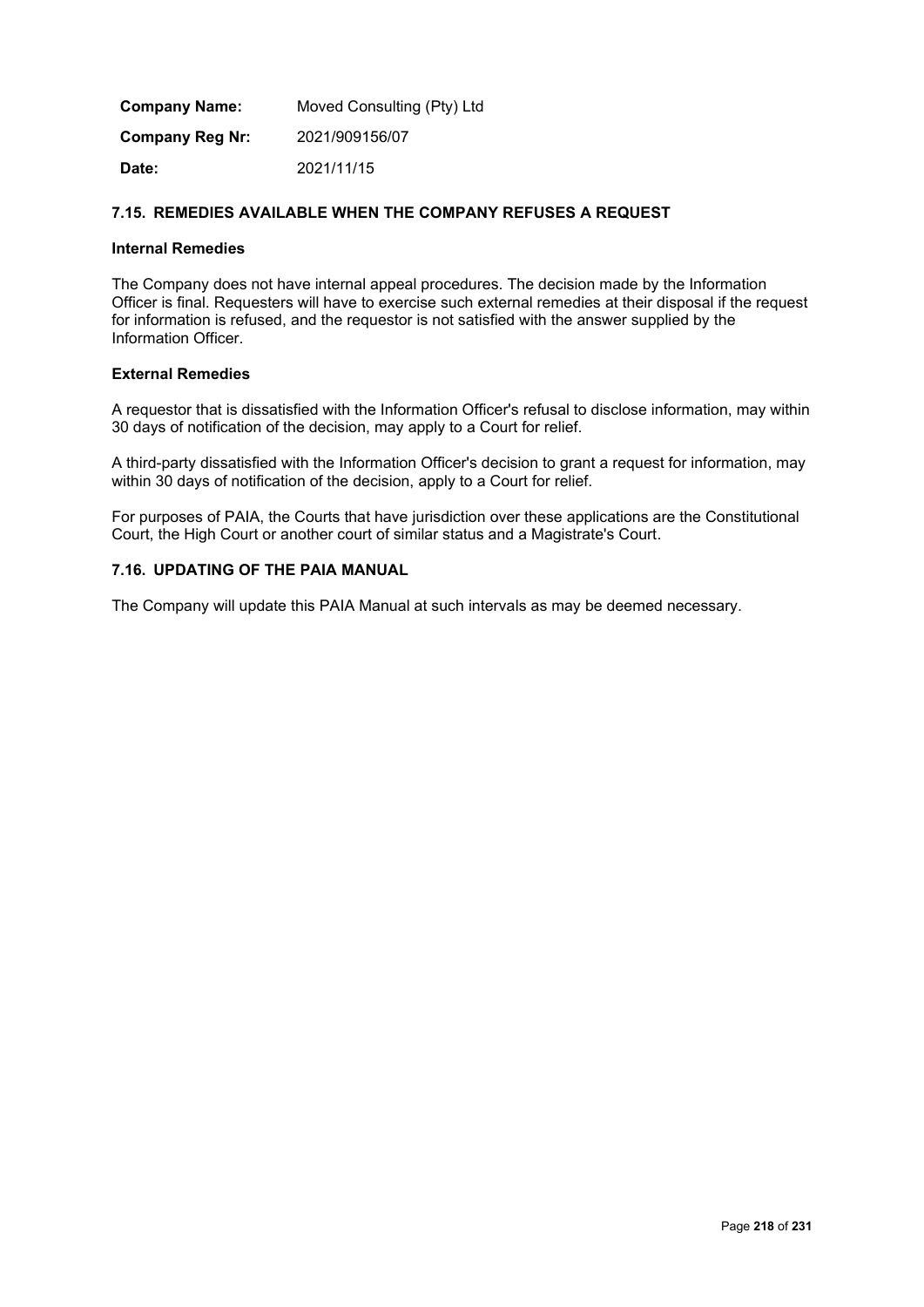| <b>Company Name:</b>   | Moved Consulting (Pty) Ltd |
|------------------------|----------------------------|
| <b>Company Reg Nr:</b> | 2021/909156/07             |
| Date:                  | 2021/11/15                 |

# **7.15. REMEDIES AVAILABLE WHEN THE COMPANY REFUSES A REQUEST**

# **Internal Remedies**

The Company does not have internal appeal procedures. The decision made by the Information Officer is final. Requesters will have to exercise such external remedies at their disposal if the request for information is refused, and the requestor is not satisfied with the answer supplied by the Information Officer.

# **External Remedies**

A requestor that is dissatisfied with the Information Officer's refusal to disclose information, may within 30 days of notification of the decision, may apply to a Court for relief.

A third-party dissatisfied with the Information Officer's decision to grant a request for information, may within 30 days of notification of the decision, apply to a Court for relief.

For purposes of PAIA, the Courts that have jurisdiction over these applications are the Constitutional Court, the High Court or another court of similar status and a Magistrate's Court.

# **7.16. UPDATING OF THE PAIA MANUAL**

The Company will update this PAIA Manual at such intervals as may be deemed necessary.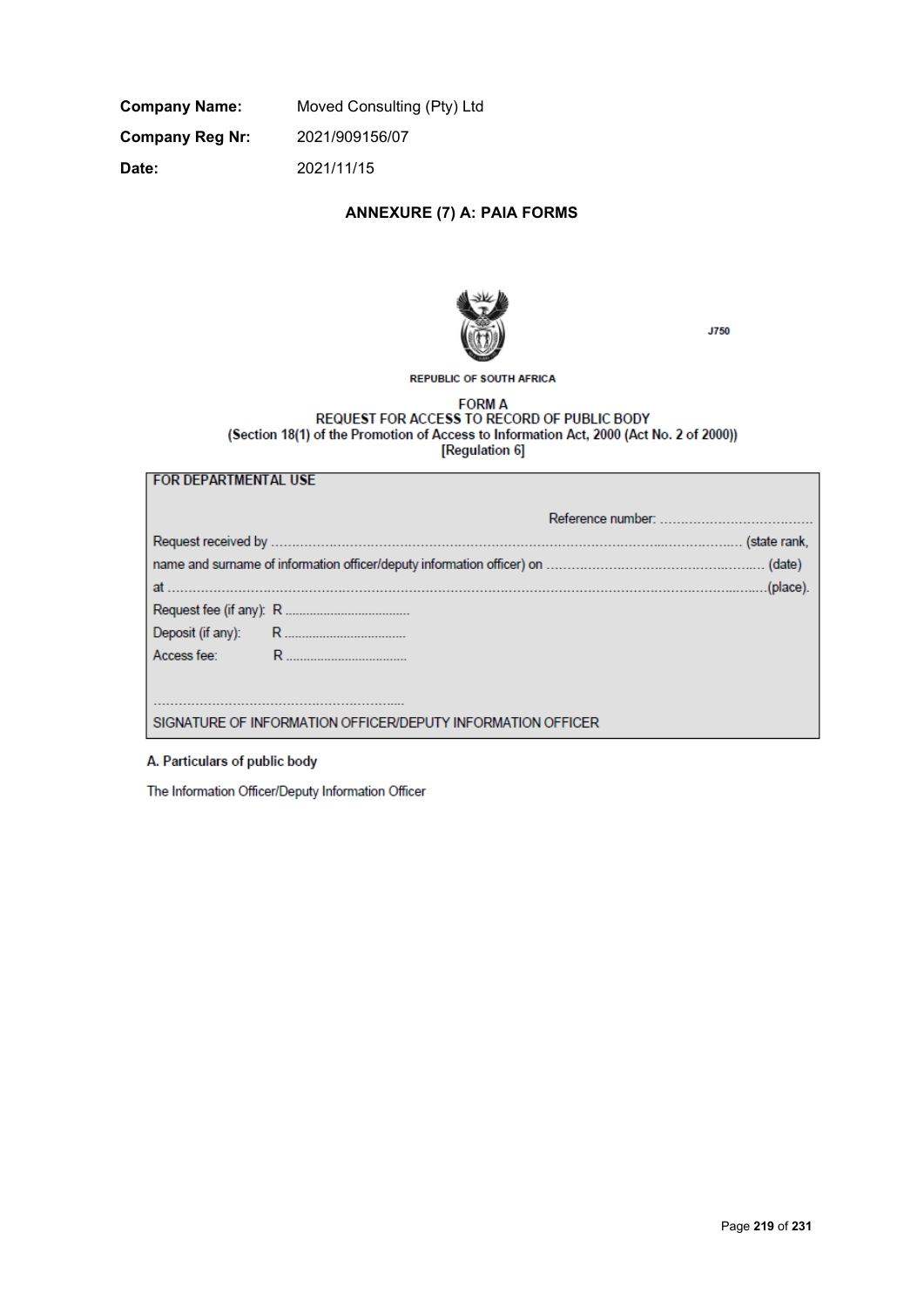**Company Name:** Moved Consulting (Pty) Ltd **Company Reg Nr:** 2021/909156/07 **Date:** 2021/11/15

# **ANNEXURE (7) A: PAIA FORMS**



**J750** 

**REPUBLIC OF SOUTH AFRICA** 

FORM A<br>REQUEST FOR ACCESS TO RECORD OF PUBLIC BODY<br>(Section 18(1) of the Promotion of Access to Information Act, 2000 (Act No. 2 of 2000))<br>[Regulation 6]

| FOR DEPARTMENTAL USE |                                                             |  |
|----------------------|-------------------------------------------------------------|--|
|                      |                                                             |  |
|                      |                                                             |  |
|                      |                                                             |  |
|                      |                                                             |  |
|                      |                                                             |  |
|                      |                                                             |  |
|                      |                                                             |  |
|                      |                                                             |  |
|                      |                                                             |  |
|                      | SIGNATURE OF INFORMATION OFFICER/DEPUTY INFORMATION OFFICER |  |

A. Particulars of public body

The Information Officer/Deputy Information Officer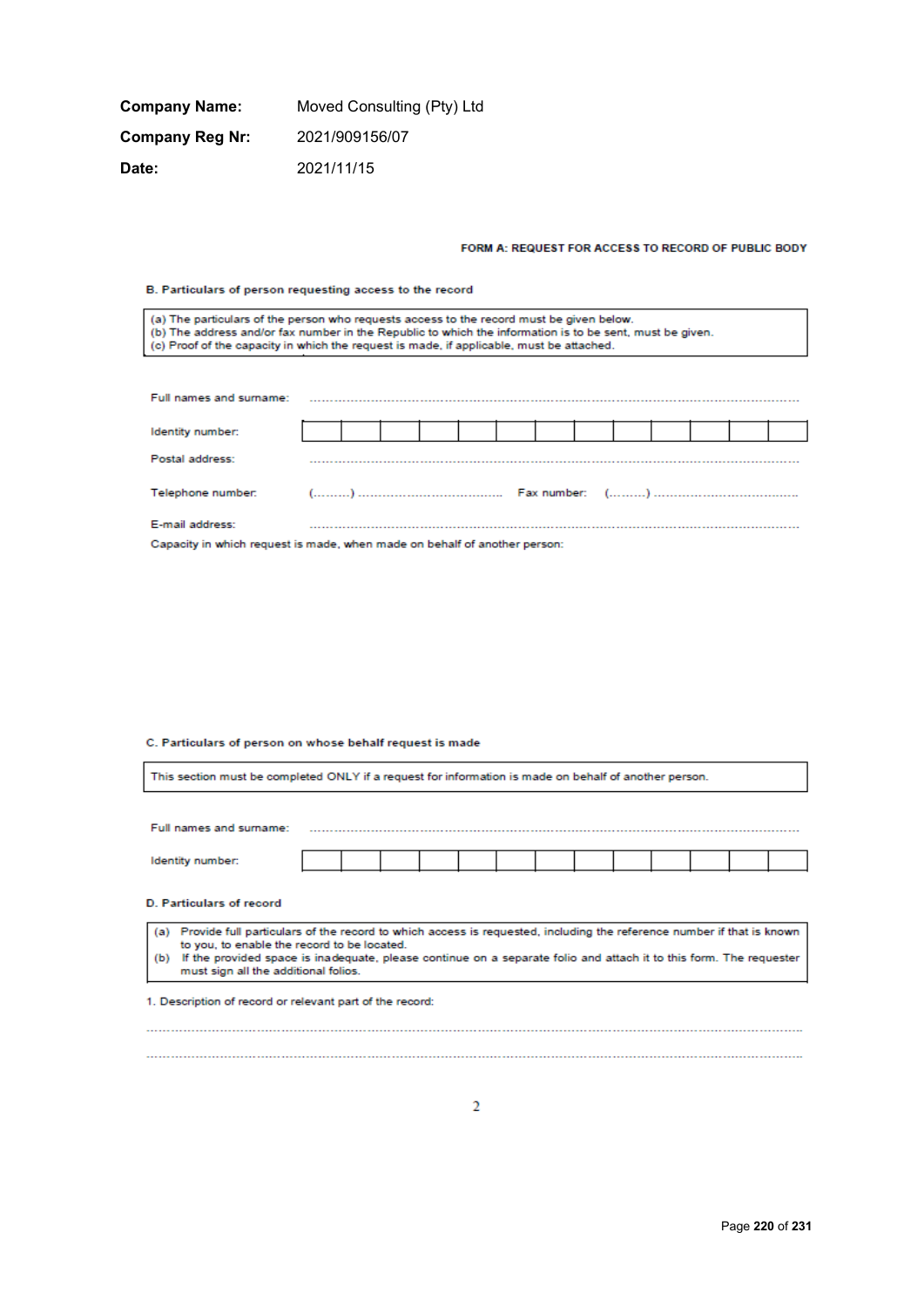| <b>Company Name:</b> | Moved Consulting (Pty) Ltd |
|----------------------|----------------------------|
| Company Reg Nr:      | 2021/909156/07             |
| Date:                | 2021/11/15                 |

## FORM A: REQUEST FOR ACCESS TO RECORD OF PUBLIC BODY

| B. Particulars of person requesting access to the record                                                                                                                                                                                                                                         |  |  |  |  |  |  |  |
|--------------------------------------------------------------------------------------------------------------------------------------------------------------------------------------------------------------------------------------------------------------------------------------------------|--|--|--|--|--|--|--|
| (a) The particulars of the person who requests access to the record must be given below.<br>(b) The address and/or fax number in the Republic to which the information is to be sent, must be given.<br>(c) Proof of the capacity in which the request is made, if applicable, must be attached. |  |  |  |  |  |  |  |
|                                                                                                                                                                                                                                                                                                  |  |  |  |  |  |  |  |
| Full names and surname:                                                                                                                                                                                                                                                                          |  |  |  |  |  |  |  |
| Identity number:                                                                                                                                                                                                                                                                                 |  |  |  |  |  |  |  |
| Postal address:                                                                                                                                                                                                                                                                                  |  |  |  |  |  |  |  |
| Telephone number:                                                                                                                                                                                                                                                                                |  |  |  |  |  |  |  |
| E-mail address:                                                                                                                                                                                                                                                                                  |  |  |  |  |  |  |  |
| Capacity in which request is made, when made on behalf of another person:                                                                                                                                                                                                                        |  |  |  |  |  |  |  |

C. Particulars of person on whose behalf request is made

| This section must be completed ONLY if a request for information is made on behalf of another person.                                                                                                         |  |  |  |  |  |  |
|---------------------------------------------------------------------------------------------------------------------------------------------------------------------------------------------------------------|--|--|--|--|--|--|
| Full names and surname:                                                                                                                                                                                       |  |  |  |  |  |  |
| Identity number:                                                                                                                                                                                              |  |  |  |  |  |  |
| <b>D. Particulars of record</b><br>(a)<br>Provide full particulars of the record to which access is requested, including the reference number if that is known<br>to you, to enable the record to be located. |  |  |  |  |  |  |
| If the provided space is inadequate, please continue on a separate folio and attach it to this form. The requester<br>(b)<br>must sign all the additional folios.                                             |  |  |  |  |  |  |
| 1. Description of record or relevant part of the record:                                                                                                                                                      |  |  |  |  |  |  |
|                                                                                                                                                                                                               |  |  |  |  |  |  |
|                                                                                                                                                                                                               |  |  |  |  |  |  |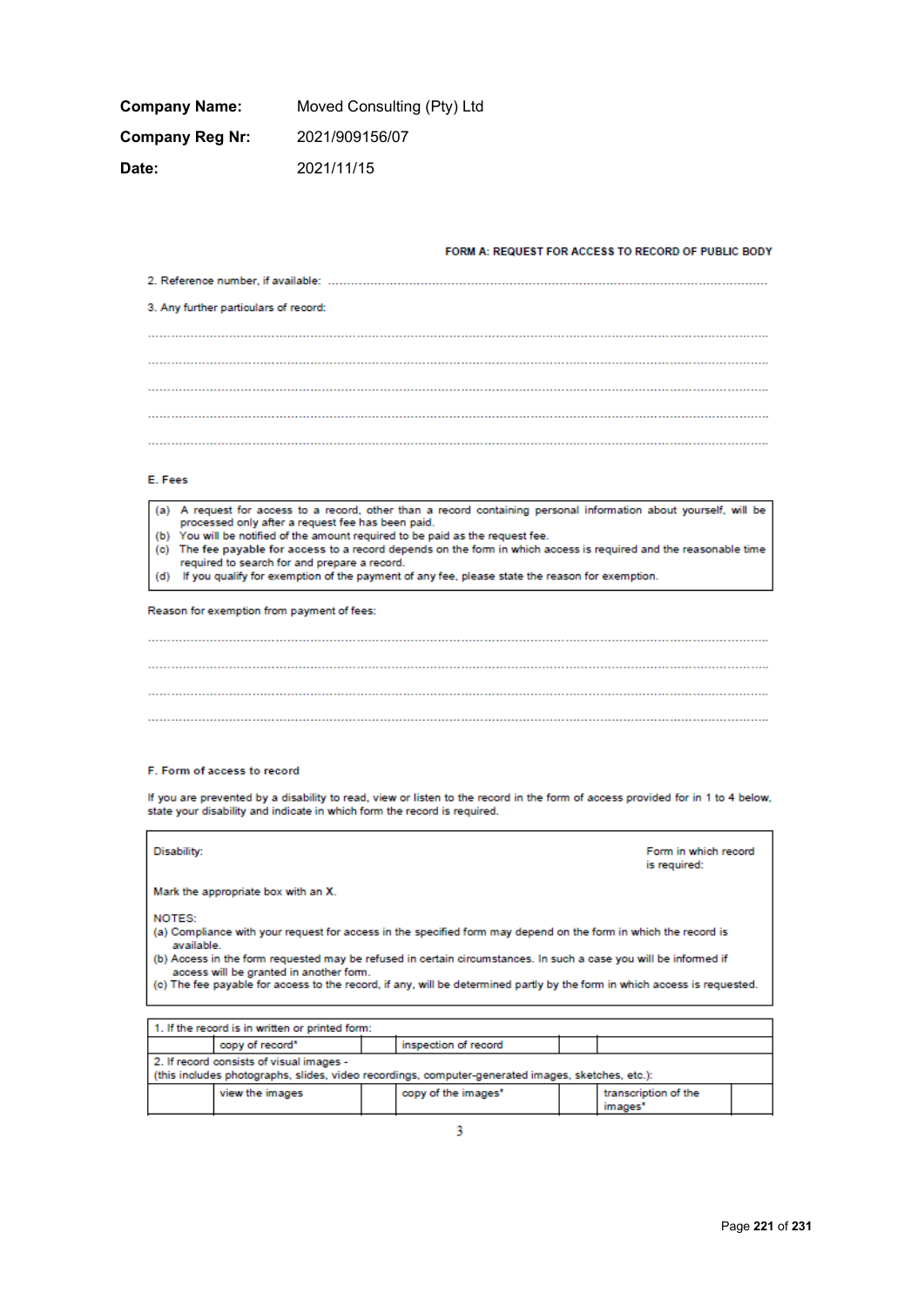| <b>Company Name:</b> | Moved Consulting (Pty) Ltd |
|----------------------|----------------------------|
| Company Reg Nr:      | 2021/909156/07             |
| Date:                | 2021/11/15                 |

#### FORM A: REQUEST FOR ACCESS TO RECORD OF PUBLIC BODY

3. Any further particulars of record: 

#### E. Fees

- (a) A request for access to a record, other than a record containing personal information about yourself, will be processed only after a request fee has been paid.
- (b) You will be notified of the amount required to be paid as the request fee.
- (c) The fee payable for access to a record depends on the form in which access is required and the reasonable time required to search for and prepare a record.
- (d) If you qualify for exemption of the payment of any fee, please state the reason for exemption.

Reason for exemption from payment of fees:

#### F. Form of access to record

If you are prevented by a disability to read, view or listen to the record in the form of access provided for in 1 to 4 below, state your disability and indicate in which form the record is required.

Disability: Form in which record is required: Mark the appropriate box with an X. NOTES: (a) Compliance with your request for access in the specified form may depend on the form in which the record is available. (b) Access in the form requested may be refused in certain circumstances. In such a case you will be informed if access will be granted in another form. (c) The fee payable for access to the record, if any, will be determined partly by the form in which access is requested. 1. If the record is in written or printed form: copy of record\* inspection of record 2. If record consists of visual images -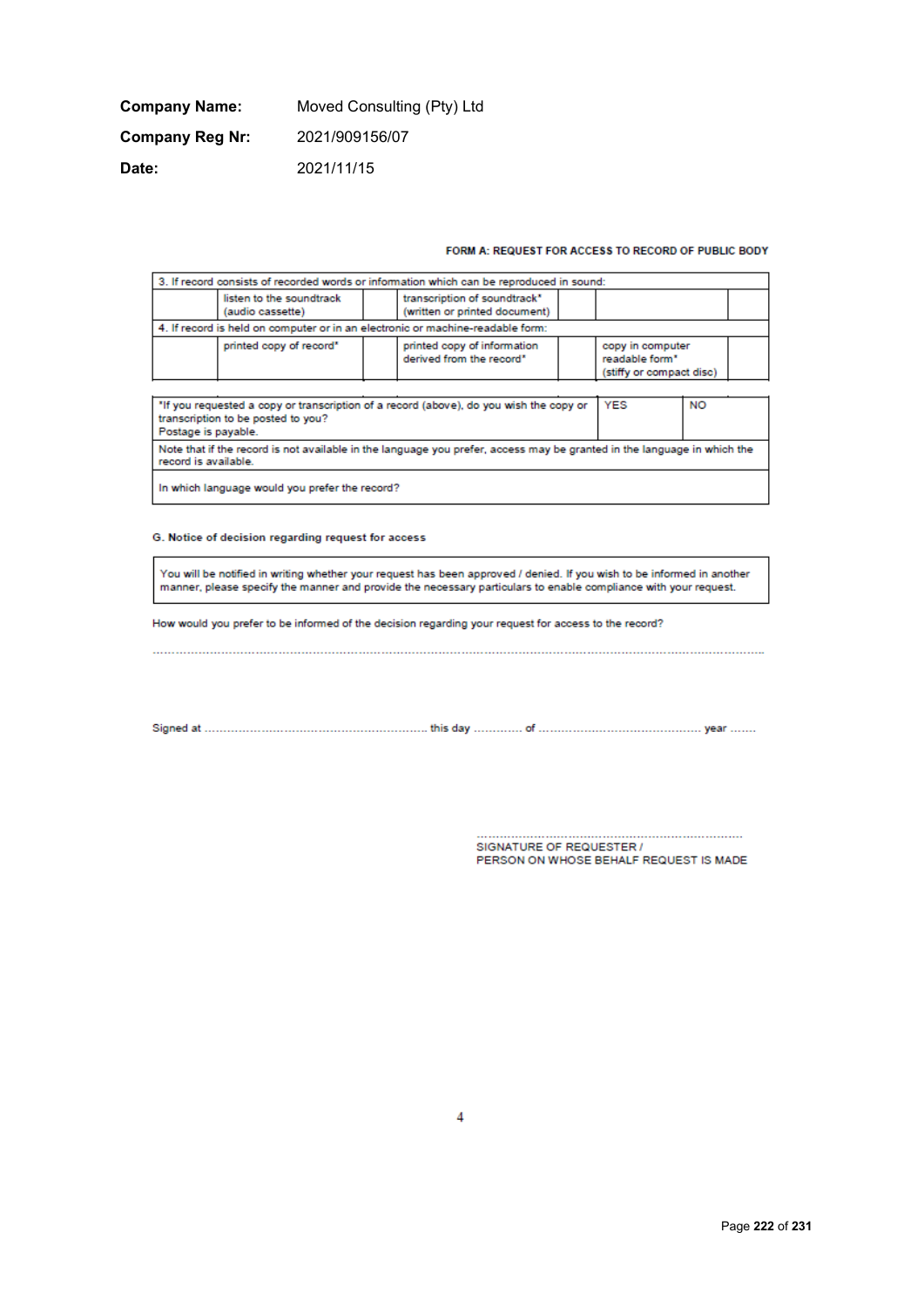| <b>Company Name:</b>   | Moved Consulting (Pty) Ltd |
|------------------------|----------------------------|
| <b>Company Reg Nr:</b> | 2021/909156/07             |
| Date:                  | 2021/11/15                 |

#### FORM A: REQUEST FOR ACCESS TO RECORD OF PUBLIC BODY

|                                                           |                          | 3. If record consists of recorded words or information which can be reproduced in sound:                                |                                                                            |           |  |
|-----------------------------------------------------------|--------------------------|-------------------------------------------------------------------------------------------------------------------------|----------------------------------------------------------------------------|-----------|--|
| (audio cassette)                                          | listen to the soundtrack | transcription of soundtrack*<br>(written or printed document)                                                           |                                                                            |           |  |
|                                                           |                          | 4. If record is held on computer or in an electronic or machine-readable form:                                          |                                                                            |           |  |
| printed copy of record"                                   |                          | printed copy of information<br>derived from the record*                                                                 | copy in computer<br>readable form <sup>*</sup><br>(stiffy or compact disc) |           |  |
| transcription to be posted to you?<br>Postage is payable. |                          | "If you requested a copy or transcription of a record (above), do you wish the copy or                                  | <b>YES</b>                                                                 | <b>NO</b> |  |
| record is available.                                      |                          | Note that if the record is not available in the language you prefer, access may be granted in the language in which the |                                                                            |           |  |
| In which language would you prefer the record?            |                          |                                                                                                                         |                                                                            |           |  |

## G. Notice of decision regarding request for access

You will be notified in writing whether your request has been approved / denied. If you wish to be informed in another manner, please specify the manner and provide the necessary particulars to enable compliance with your request.

How would you prefer to be informed of the decision regarding your request for access to the record?

SIGNATURE OF REQUESTER / PERSON ON WHOSE BEHALF REQUEST IS MADE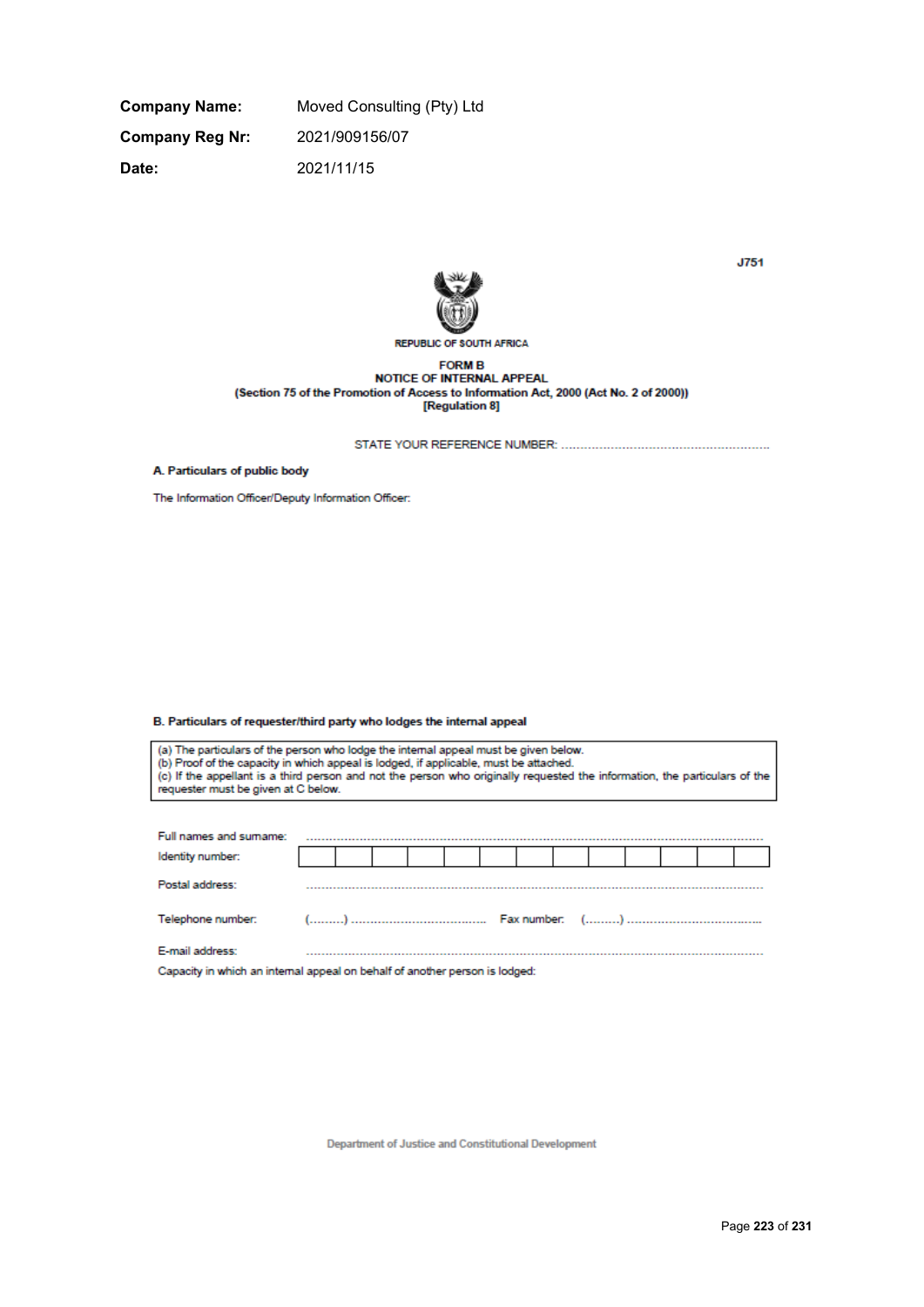**Company Name:** Moved Consulting (Pty) Ltd **Company Reg Nr:** 2021/909156/07 Date: 2021/11/15



**J751** 

**REPUBLIC OF SOUTH AFRICA** 

**FORM B** NOTICE OF INTERNAL APPEAL (Section 75 of the Promotion of Access to Information Act, 2000 (Act No. 2 of 2000)) [Regulation 8]

A. Particulars of public body

The Information Officer/Deputy Information Officer:

B. Particulars of requester/third party who lodges the internal appeal

(a) The particulars of the person who lodge the internal appeal must be given below. (b) Proof of the capacity in which appeal is lodged, if applicable, must be attached.<br>(c) If the appellant is a third person and not the person who originally requested the information, the particulars of the requester mus

| Full names and sumame:                                                      |  |  |  |  |  |  |  |
|-----------------------------------------------------------------------------|--|--|--|--|--|--|--|
| Identity number:                                                            |  |  |  |  |  |  |  |
| Postal address:                                                             |  |  |  |  |  |  |  |
| Telephone number:                                                           |  |  |  |  |  |  |  |
| E-mail address:                                                             |  |  |  |  |  |  |  |
| Capacity in which an internal appeal on behalf of another person is lodged: |  |  |  |  |  |  |  |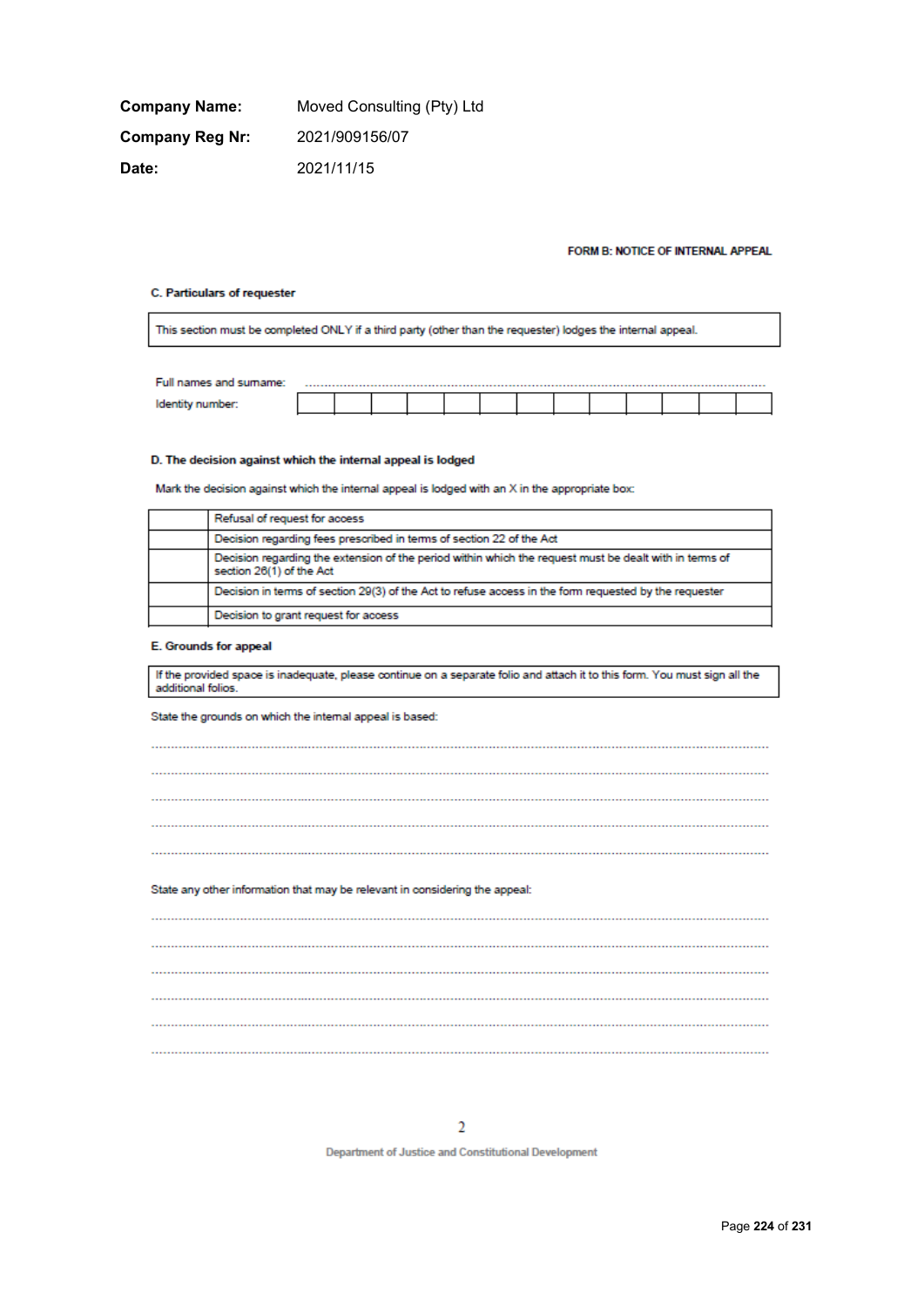| <b>Company Name:</b> | Moved Consulting (Pty) Ltd |
|----------------------|----------------------------|
| Company Reg Nr:      | 2021/909156/07             |
| Date:                | 2021/11/15                 |

#### FORM B: NOTICE OF INTERNAL APPEAL

#### **C. Particulars of requester**

This section must be completed ONLY if a third party (other than the requester) lodges the internal appeal.

| I names and sumame:<br>нш |  |  |  |  |  |  |  |
|---------------------------|--|--|--|--|--|--|--|
|                           |  |  |  |  |  |  |  |

## D. The decision against which the internal appeal is lodged

Mark the decision against which the internal appeal is lodged with an X in the appropriate box:

| Refusal of request for access                                                                                                      |
|------------------------------------------------------------------------------------------------------------------------------------|
| Decision regarding fees prescribed in terms of section 22 of the Act                                                               |
| Decision regarding the extension of the period within which the request must be dealt with in terms of<br>section 26(1) of the Act |
| Decision in terms of section 29(3) of the Act to refuse access in the form requested by the requester                              |
| Decision to grant request for access                                                                                               |

## E. Grounds for appeal

If the provided space is inadequate, please continue on a separate folio and attach it to this form. You must sign all the additional folios.

State the grounds on which the internal appeal is based:

| State any other information that may be relevant in considering the appeal: |  |
|-----------------------------------------------------------------------------|--|
|                                                                             |  |
|                                                                             |  |
|                                                                             |  |
|                                                                             |  |
|                                                                             |  |
|                                                                             |  |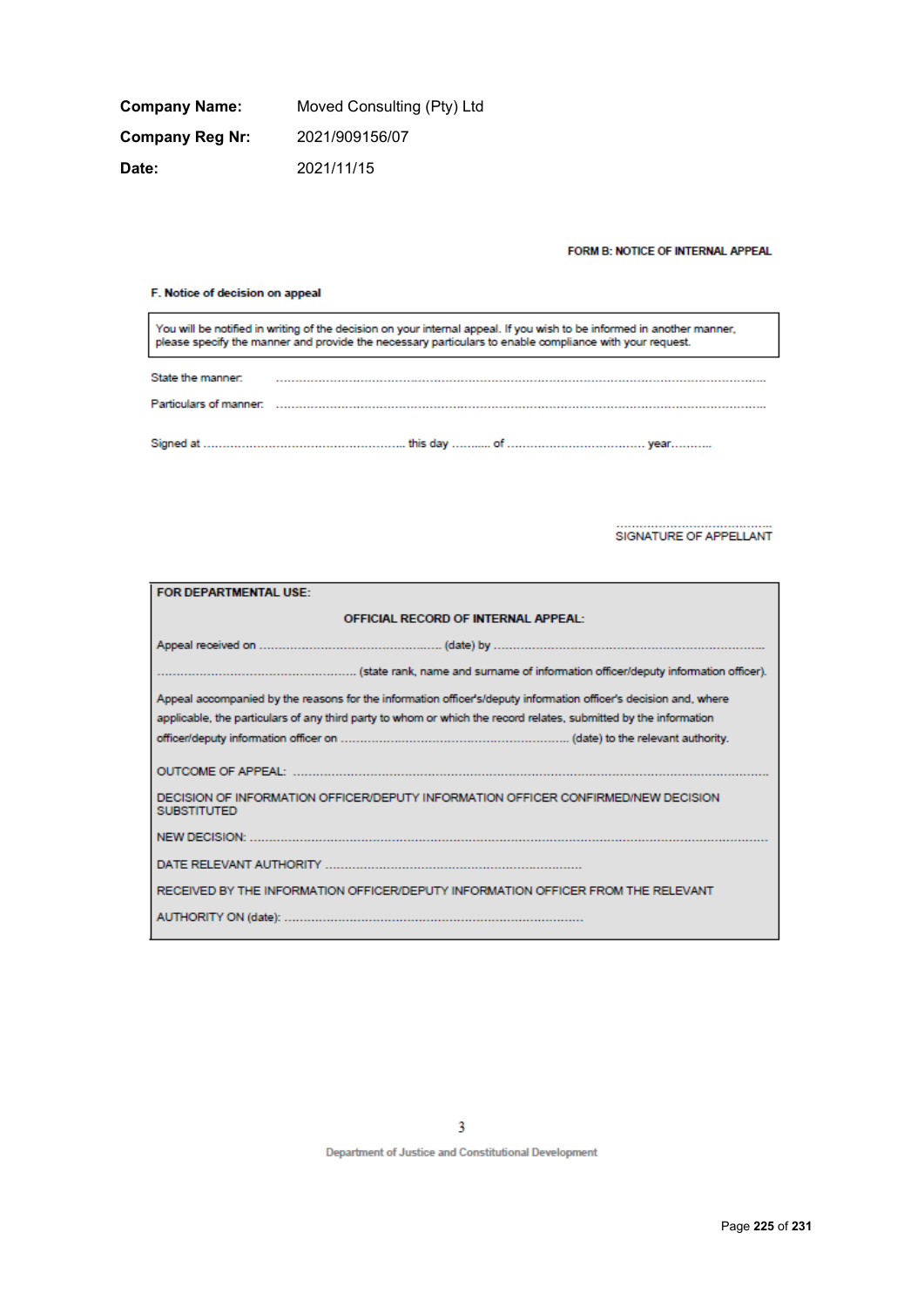**Company Name:** Moved Consulting (Pty) Ltd **Company Reg Nr:** 2021/909156/07 Date: 2021/11/15

FORM B: NOTICE OF INTERNAL APPEAL

#### F. Notice of decision on appeal

You will be notified in writing of the decision on your internal appeal. If you wish to be informed in another manner,<br>please specify the manner and provide the necessary particulars to enable compliance with your request.

| State the manner: |  |
|-------------------|--|
|                   |  |
|                   |  |

## SIGNATURE OF APPELLANT

| FOR DEPARTMENTAL USE:     |                                                                                                                  |
|---------------------------|------------------------------------------------------------------------------------------------------------------|
|                           | OFFICIAL RECORD OF INTERNAL APPEAL:                                                                              |
|                           |                                                                                                                  |
|                           |                                                                                                                  |
|                           | Appeal accompanied by the reasons for the information officer's/deputy information officer's decision and, where |
|                           | applicable, the particulars of any third party to whom or which the record relates, submitted by the information |
|                           |                                                                                                                  |
| <b>OUTCOME OF APPEAL:</b> |                                                                                                                  |
| <b>SUBSTITUTED</b>        | DECISION OF INFORMATION OFFICER/DEPUTY INFORMATION OFFICER CONFIRMED/NEW DECISION                                |
|                           |                                                                                                                  |
|                           |                                                                                                                  |
|                           | RECEIVED BY THE INFORMATION OFFICER/DEPUTY INFORMATION OFFICER FROM THE RELEVANT                                 |
|                           |                                                                                                                  |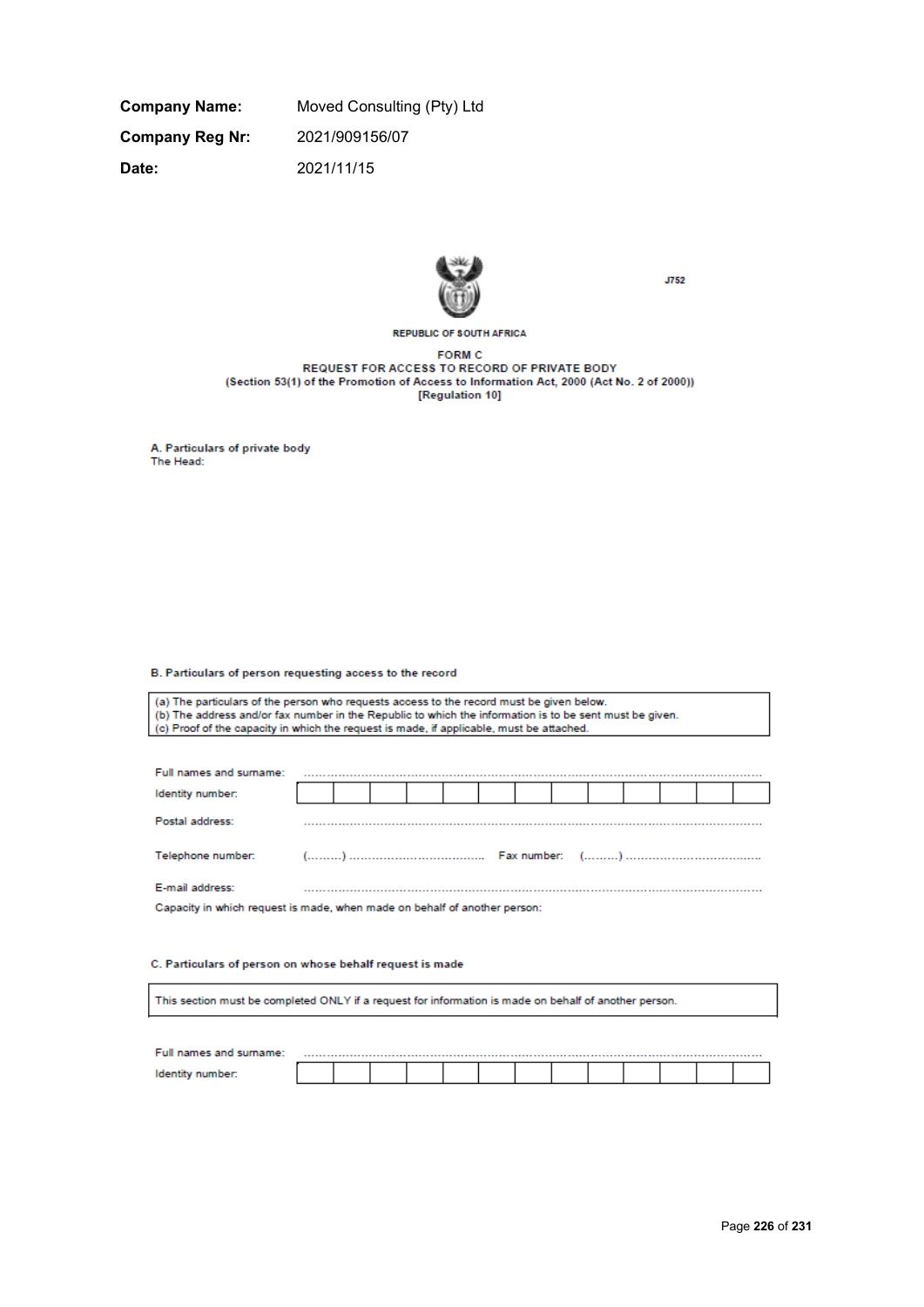**Company Name:** Moved Consulting (Pty) Ltd **Company Reg Nr:** 2021/909156/07 2021/11/15 Date:



**J752** 

**REPUBLIC OF SOUTH AFRICA** 

**FORM C** REQUEST FOR ACCESS TO RECORD OF PRIVATE BODY (Section 53(1) of the Promotion of Access to Information Act, 2000 (Act No. 2 of 2000)) [Regulation 10]

A. Particulars of private body The Head:

B. Particulars of person requesting access to the record

(a) The particulars of the person who requests access to the record must be given below. (b) The address and/or fax number in the Republic to which the information is to be sent must be given. (c) Proof of the capacity in which the request is made, if applicable, must be attached.

| Full names and surname:                                                   |  |  |  |  |  |  |  |  |  |  |
|---------------------------------------------------------------------------|--|--|--|--|--|--|--|--|--|--|
| Identity number:                                                          |  |  |  |  |  |  |  |  |  |  |
| Postal address:                                                           |  |  |  |  |  |  |  |  |  |  |
| Telephone number:                                                         |  |  |  |  |  |  |  |  |  |  |
| E-mail address:                                                           |  |  |  |  |  |  |  |  |  |  |
| Capacity in which request is made, when made on behalf of another person: |  |  |  |  |  |  |  |  |  |  |

## C. Particulars of person on whose behalf request is made

This section must be completed ONLY if a request for information is made on behalf of another person.

| Full names and surname: |  |  |  |  |  |  |  |
|-------------------------|--|--|--|--|--|--|--|
| imhar.                  |  |  |  |  |  |  |  |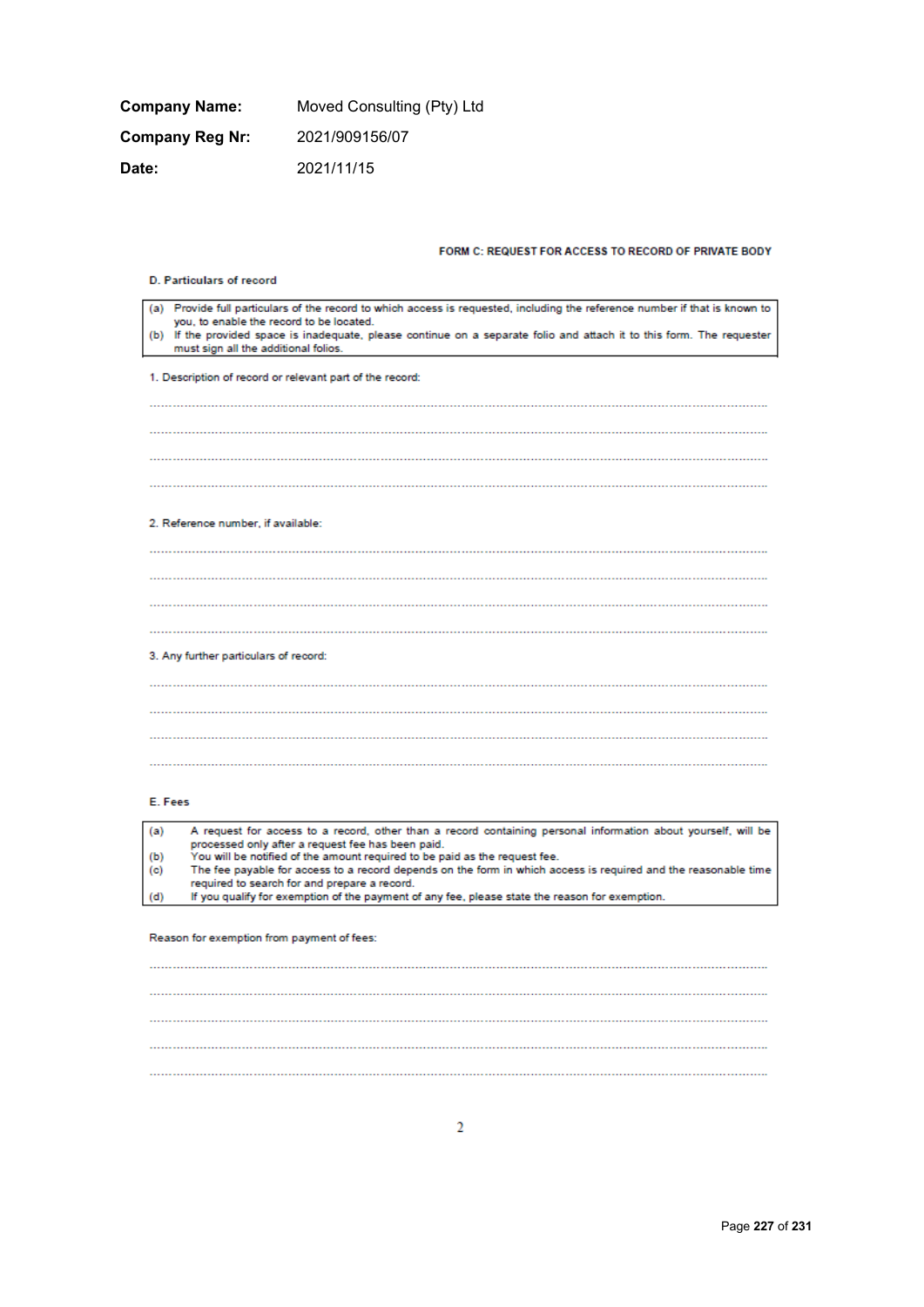| <b>Company Name:</b>   | Moved Consulting (Pty) Ltd |
|------------------------|----------------------------|
| <b>Company Reg Nr:</b> | 2021/909156/07             |
| Date:                  | 2021/11/15                 |

#### FORM C: REQUEST FOR ACCESS TO RECORD OF PRIVATE BODY

| D. Particulars of record                                                                                                                                                |
|-------------------------------------------------------------------------------------------------------------------------------------------------------------------------|
| (a) Provide full particulars of the record to which access is requested, including the reference number if that is known to<br>you, to enable the record to be located. |
| (b) If the provided space is inadequate, please continue on a separate folio and attach it to this form. The requester<br>must sign all the additional folios.          |
| 1. Description of record or relevant part of the record:                                                                                                                |
|                                                                                                                                                                         |
|                                                                                                                                                                         |
|                                                                                                                                                                         |
|                                                                                                                                                                         |
| 2. Reference number, if available:                                                                                                                                      |
|                                                                                                                                                                         |
|                                                                                                                                                                         |
|                                                                                                                                                                         |
|                                                                                                                                                                         |
| 3. Any further particulars of record:                                                                                                                                   |
|                                                                                                                                                                         |
|                                                                                                                                                                         |
|                                                                                                                                                                         |
|                                                                                                                                                                         |
| E. Fees                                                                                                                                                                 |

 $(a)$ A request for access to a record, other than a record containing personal information about yourself, will be processed only after a request fee has been paid.<br>You will be notified of the amount required to be paid as the request fee.  $(b)$ The fee payable for access to a record depends on the form in which access is required and the reasonable time  $(c)$ required to search for and prepare a record.  $(d)$ If you qualify for exemption of the payment of any fee, please state the reason for exemption.

Reason for exemption from payment of fees: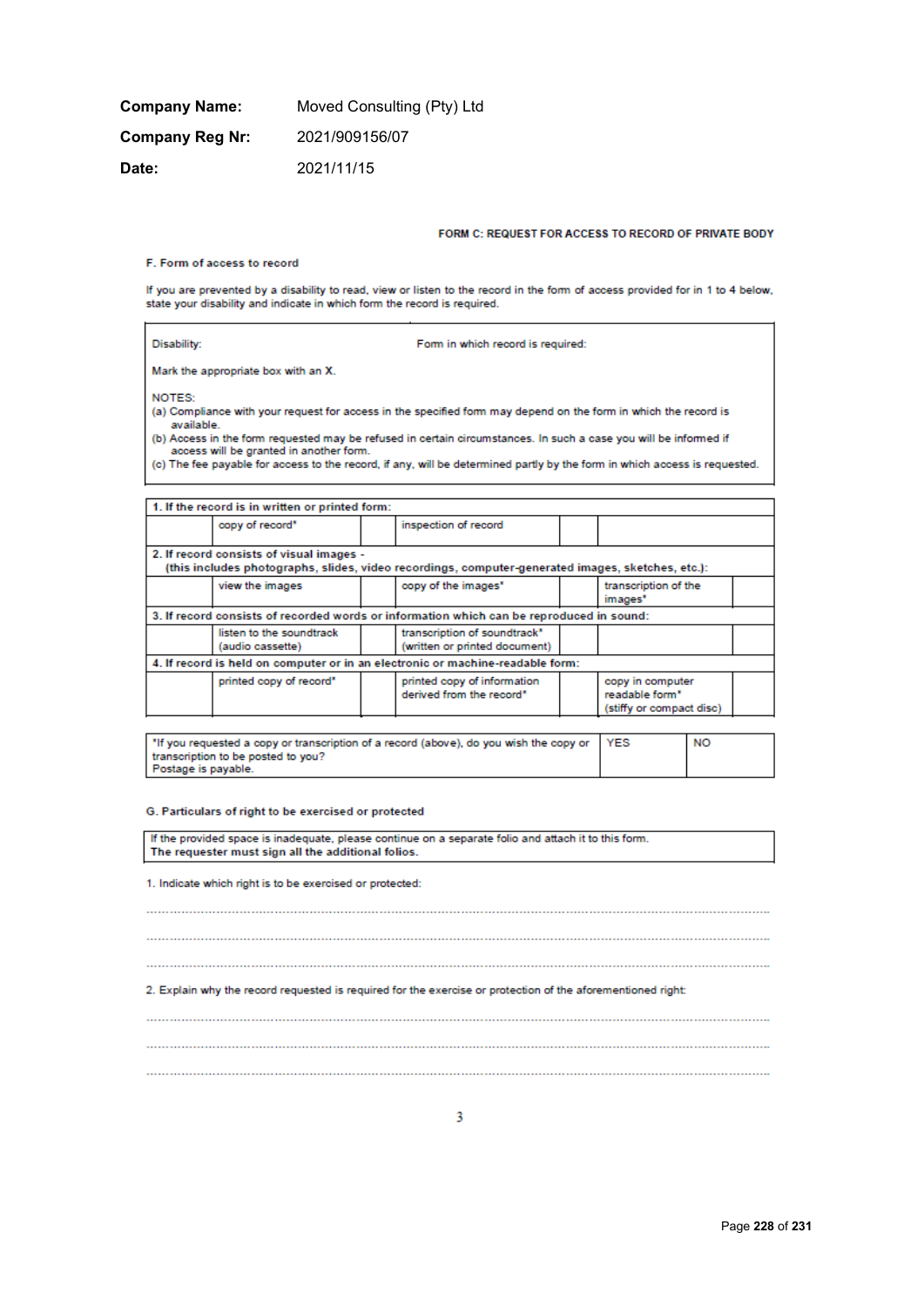| <b>Company Name:</b> | Moved Consulting (Pty) Ltd |
|----------------------|----------------------------|
| Company Reg Nr:      | 2021/909156/07             |
| Date:                | 2021/11/15                 |

#### FORM C: REQUEST FOR ACCESS TO RECORD OF PRIVATE BODY

## F. Form of access to record

If you are prevented by a disability to read, view or listen to the record in the form of access provided for in 1 to 4 below,<br>state your disability and indicate in which form the record is required.

| Disability:                                     | Form in which record is required:                                                                                                                                                                                                                                                                                                                                                                                         |                      |  |  |  |  |  |  |
|-------------------------------------------------|---------------------------------------------------------------------------------------------------------------------------------------------------------------------------------------------------------------------------------------------------------------------------------------------------------------------------------------------------------------------------------------------------------------------------|----------------------|--|--|--|--|--|--|
|                                                 | Mark the appropriate box with an X.                                                                                                                                                                                                                                                                                                                                                                                       |                      |  |  |  |  |  |  |
| NOTES:                                          | (a) Compliance with your request for access in the specified form may depend on the form in which the record is<br>available.<br>(b) Access in the form requested may be refused in certain circumstances. In such a case you will be informed if<br>access will be granted in another form.<br>(c) The fee payable for access to the record, if any, will be determined partly by the form in which access is requested. |                      |  |  |  |  |  |  |
| 1. If the record is in written or printed form: |                                                                                                                                                                                                                                                                                                                                                                                                                           |                      |  |  |  |  |  |  |
|                                                 | copy of record"                                                                                                                                                                                                                                                                                                                                                                                                           | inspection of record |  |  |  |  |  |  |

| 2. If record consists of visual images -<br>(this includes photographs, slides, video recordings, computer-generated images, sketches, etc.): |  |                                                               |  |                                                                |  |  |
|-----------------------------------------------------------------------------------------------------------------------------------------------|--|---------------------------------------------------------------|--|----------------------------------------------------------------|--|--|
| view the images                                                                                                                               |  | copy of the images"                                           |  | transcription of the<br>images*                                |  |  |
| 3. If record consists of recorded words or information which can be reproduced in sound:                                                      |  |                                                               |  |                                                                |  |  |
| listen to the soundtrack<br>(audio cassette)                                                                                                  |  | transcription of soundtrack*<br>(written or printed document) |  |                                                                |  |  |
| 4. If record is held on computer or in an electronic or machine-readable form:                                                                |  |                                                               |  |                                                                |  |  |
| printed copy of record"                                                                                                                       |  | printed copy of information<br>derived from the record*       |  | copy in computer<br>readable form*<br>(stiffy or compact disc) |  |  |

| "If you requested a copy or transcription of a record (above), do you wish the copy or   YES | NO |
|----------------------------------------------------------------------------------------------|----|
| transcription to be posted to you?                                                           |    |
| Postage is payable.                                                                          |    |

## G. Particulars of right to be exercised or protected

If the provided space is inadequate, please continue on a separate folio and attach it to this form.<br>The requester must sign all the additional folios.

1. Indicate which right is to be exercised or protected:

2. Explain why the record requested is required for the exercise or protection of the aforementioned right: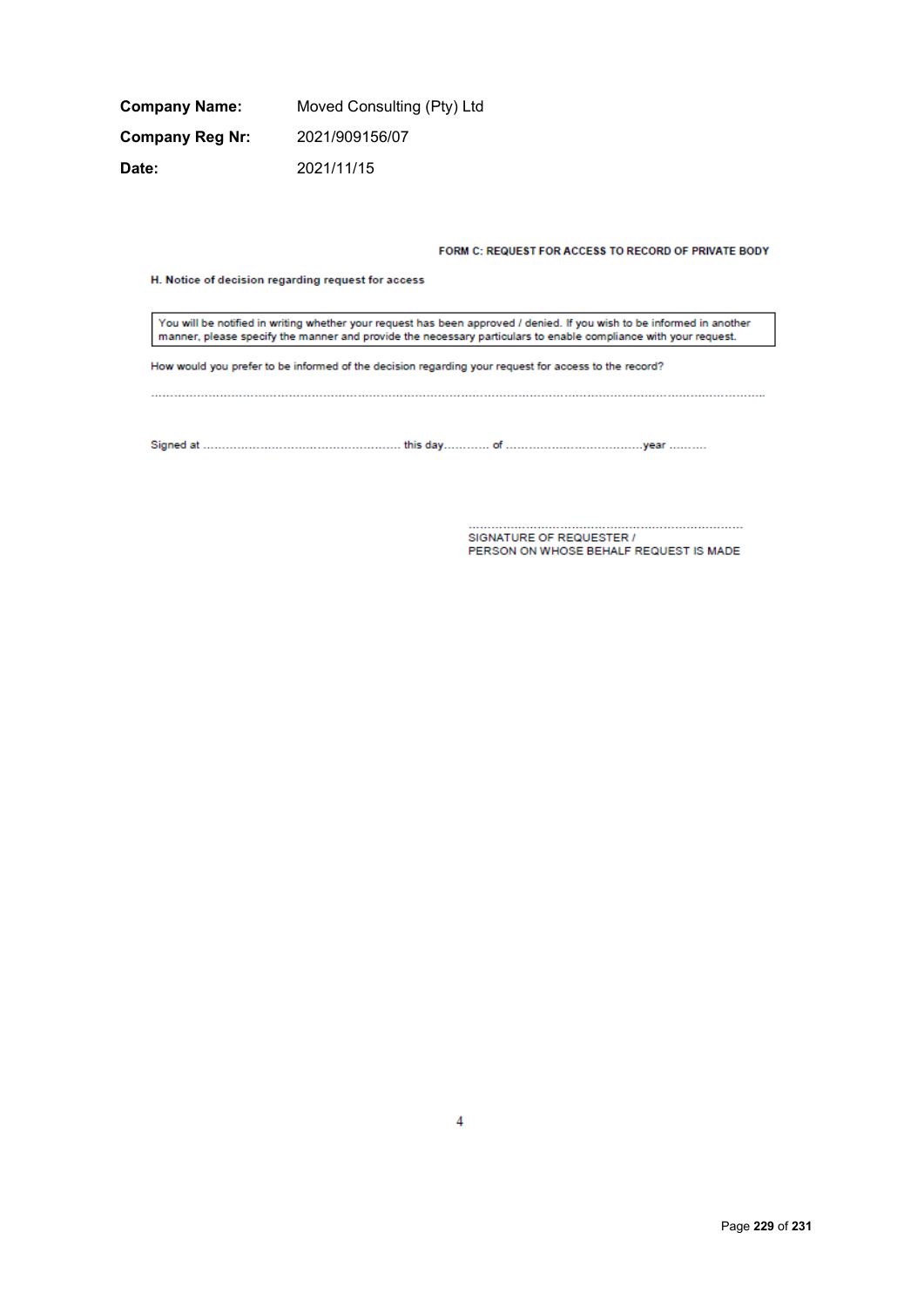**Company Name:** Moved Consulting (Pty) Ltd **Company Reg Nr:** 2021/909156/07 Date: 2021/11/15

FORM C: REQUEST FOR ACCESS TO RECORD OF PRIVATE BODY

H. Notice of decision regarding request for access

You will be notified in writing whether your request has been approved / denied. If you wish to be informed in another manner, please specify the manner and provide the necessary particulars to enable compliance with your request.

How would you prefer to be informed of the decision regarding your request for access to the record?

SIGNATURE OF REQUESTER / PERSON ON WHOSE BEHALF REQUEST IS MADE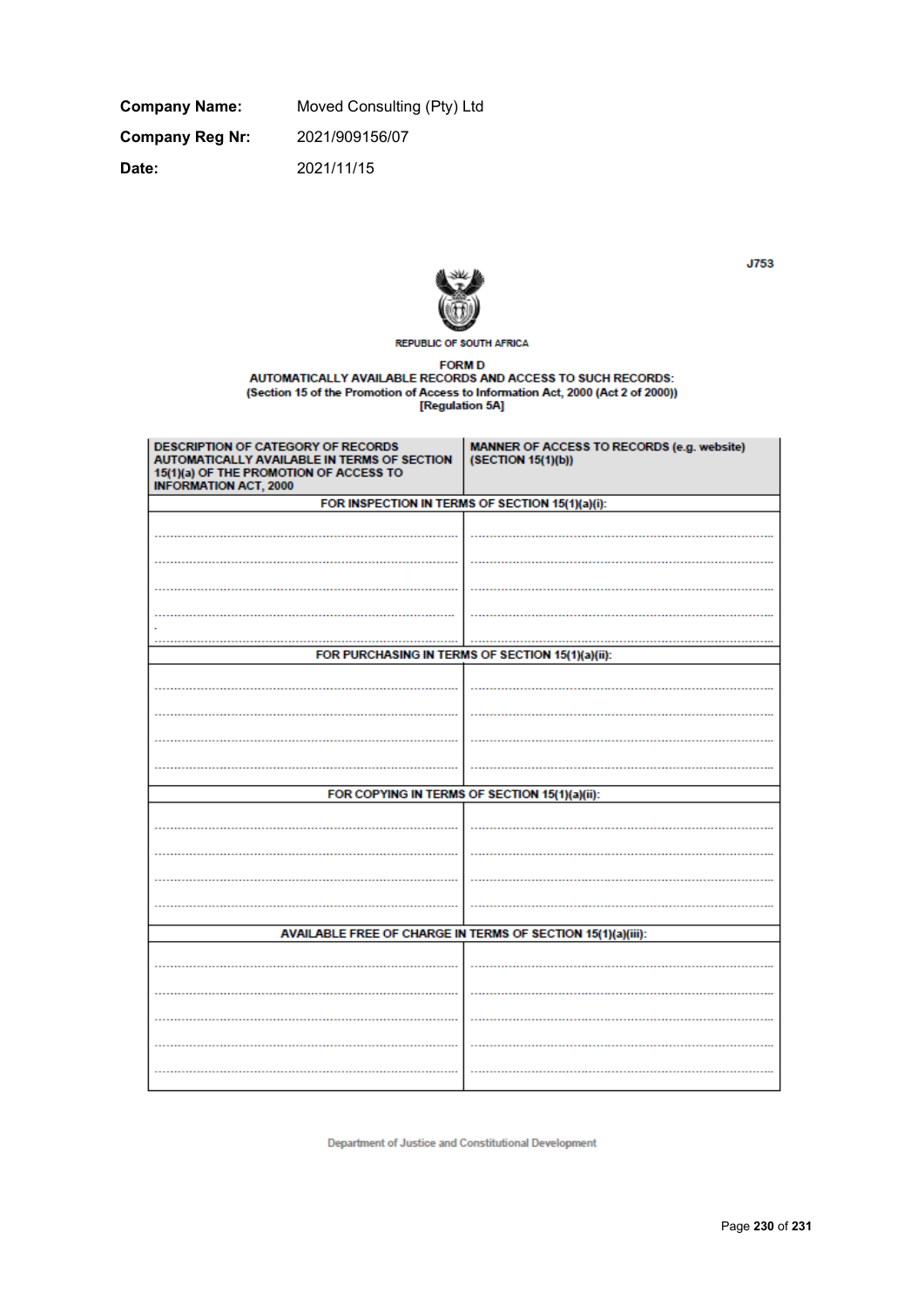**Company Name:** Moved Consulting (Pty) Ltd **Company Reg Nr:** 2021/909156/07 **Date:** 2021/11/15



**J753** 

**REPUBLIC OF SOUTH AFRICA** 

**FORM D** 

AUTOMATICALLY AVAILABLE RECORDS AND ACCESS TO SUCH RECORDS: Section 15 of the Promotion of Access to Information Act, 2000 (Act 2 of 2000))<br>[Regulation 5A]

| <b>DESCRIPTION OF CATEGORY OF RECORDS</b><br>AUTOMATICALLY AVAILABLE IN TERMS OF SECTION<br>15(1)(a) OF THE PROMOTION OF ACCESS TO<br><b>INFORMATION ACT, 2000</b> | MANNER OF ACCESS TO RECORDS (e.g. website)<br>(SECTION 15(1)(b)) |
|--------------------------------------------------------------------------------------------------------------------------------------------------------------------|------------------------------------------------------------------|
|                                                                                                                                                                    | FOR INSPECTION IN TERMS OF SECTION 15(1)(a)(i):                  |
|                                                                                                                                                                    |                                                                  |
|                                                                                                                                                                    |                                                                  |
|                                                                                                                                                                    |                                                                  |
|                                                                                                                                                                    |                                                                  |
|                                                                                                                                                                    |                                                                  |
|                                                                                                                                                                    |                                                                  |
|                                                                                                                                                                    | FOR PURCHASING IN TERMS OF SECTION 15(1)(a)(ii):                 |
|                                                                                                                                                                    |                                                                  |
|                                                                                                                                                                    |                                                                  |
|                                                                                                                                                                    |                                                                  |
|                                                                                                                                                                    |                                                                  |
|                                                                                                                                                                    |                                                                  |
|                                                                                                                                                                    | FOR COPYING IN TERMS OF SECTION 15(1)(a)(ii):                    |
|                                                                                                                                                                    |                                                                  |
|                                                                                                                                                                    |                                                                  |
|                                                                                                                                                                    |                                                                  |
|                                                                                                                                                                    |                                                                  |
|                                                                                                                                                                    |                                                                  |
|                                                                                                                                                                    | AVAILABLE FREE OF CHARGE IN TERMS OF SECTION 15(1)(a)(iii):      |
|                                                                                                                                                                    |                                                                  |
|                                                                                                                                                                    |                                                                  |
|                                                                                                                                                                    |                                                                  |
|                                                                                                                                                                    |                                                                  |
|                                                                                                                                                                    |                                                                  |